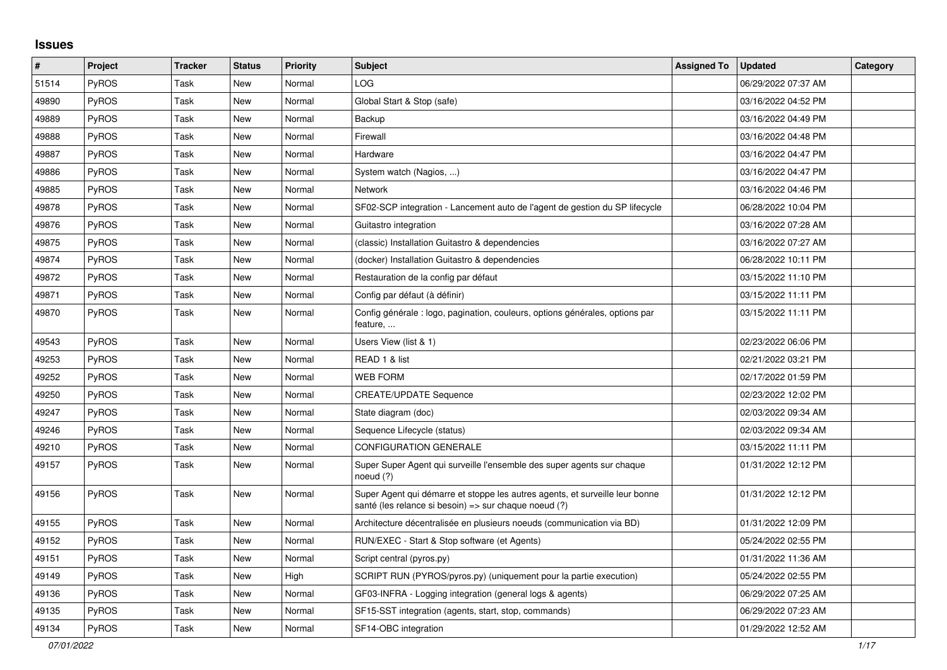## **Issues**

| $\pmb{\#}$ | Project      | <b>Tracker</b> | <b>Status</b> | <b>Priority</b> | <b>Subject</b>                                                                                                                        | <b>Assigned To</b> | <b>Updated</b>      | Category |
|------------|--------------|----------------|---------------|-----------------|---------------------------------------------------------------------------------------------------------------------------------------|--------------------|---------------------|----------|
| 51514      | PyROS        | Task           | New           | Normal          | LOG                                                                                                                                   |                    | 06/29/2022 07:37 AM |          |
| 49890      | PyROS        | Task           | <b>New</b>    | Normal          | Global Start & Stop (safe)                                                                                                            |                    | 03/16/2022 04:52 PM |          |
| 49889      | PyROS        | Task           | <b>New</b>    | Normal          | Backup                                                                                                                                |                    | 03/16/2022 04:49 PM |          |
| 49888      | <b>PyROS</b> | Task           | <b>New</b>    | Normal          | Firewall                                                                                                                              |                    | 03/16/2022 04:48 PM |          |
| 49887      | <b>PyROS</b> | Task           | <b>New</b>    | Normal          | Hardware                                                                                                                              |                    | 03/16/2022 04:47 PM |          |
| 49886      | <b>PyROS</b> | Task           | <b>New</b>    | Normal          | System watch (Nagios, )                                                                                                               |                    | 03/16/2022 04:47 PM |          |
| 49885      | <b>PyROS</b> | Task           | New           | Normal          | <b>Network</b>                                                                                                                        |                    | 03/16/2022 04:46 PM |          |
| 49878      | PyROS        | Task           | <b>New</b>    | Normal          | SF02-SCP integration - Lancement auto de l'agent de gestion du SP lifecycle                                                           |                    | 06/28/2022 10:04 PM |          |
| 49876      | PyROS        | Task           | <b>New</b>    | Normal          | Guitastro integration                                                                                                                 |                    | 03/16/2022 07:28 AM |          |
| 49875      | PyROS        | Task           | <b>New</b>    | Normal          | (classic) Installation Guitastro & dependencies                                                                                       |                    | 03/16/2022 07:27 AM |          |
| 49874      | <b>PyROS</b> | Task           | New           | Normal          | (docker) Installation Guitastro & dependencies                                                                                        |                    | 06/28/2022 10:11 PM |          |
| 49872      | <b>PyROS</b> | Task           | <b>New</b>    | Normal          | Restauration de la config par défaut                                                                                                  |                    | 03/15/2022 11:10 PM |          |
| 49871      | <b>PyROS</b> | Task           | <b>New</b>    | Normal          | Config par défaut (à définir)                                                                                                         |                    | 03/15/2022 11:11 PM |          |
| 49870      | <b>PyROS</b> | Task           | New           | Normal          | Config générale : logo, pagination, couleurs, options générales, options par<br>feature,                                              |                    | 03/15/2022 11:11 PM |          |
| 49543      | <b>PyROS</b> | Task           | <b>New</b>    | Normal          | Users View (list & 1)                                                                                                                 |                    | 02/23/2022 06:06 PM |          |
| 49253      | PyROS        | Task           | New           | Normal          | READ 1 & list                                                                                                                         |                    | 02/21/2022 03:21 PM |          |
| 49252      | PyROS        | Task           | <b>New</b>    | Normal          | <b>WEB FORM</b>                                                                                                                       |                    | 02/17/2022 01:59 PM |          |
| 49250      | PyROS        | Task           | <b>New</b>    | Normal          | <b>CREATE/UPDATE Sequence</b>                                                                                                         |                    | 02/23/2022 12:02 PM |          |
| 49247      | <b>PyROS</b> | Task           | New           | Normal          | State diagram (doc)                                                                                                                   |                    | 02/03/2022 09:34 AM |          |
| 49246      | <b>PyROS</b> | Task           | New           | Normal          | Sequence Lifecycle (status)                                                                                                           |                    | 02/03/2022 09:34 AM |          |
| 49210      | PyROS        | Task           | <b>New</b>    | Normal          | <b>CONFIGURATION GENERALE</b>                                                                                                         |                    | 03/15/2022 11:11 PM |          |
| 49157      | <b>PyROS</b> | Task           | <b>New</b>    | Normal          | Super Super Agent qui surveille l'ensemble des super agents sur chaque<br>noeud (?)                                                   |                    | 01/31/2022 12:12 PM |          |
| 49156      | <b>PyROS</b> | Task           | <b>New</b>    | Normal          | Super Agent qui démarre et stoppe les autres agents, et surveille leur bonne<br>santé (les relance si besoin) => sur chaque noeud (?) |                    | 01/31/2022 12:12 PM |          |
| 49155      | <b>PyROS</b> | Task           | New           | Normal          | Architecture décentralisée en plusieurs noeuds (communication via BD)                                                                 |                    | 01/31/2022 12:09 PM |          |
| 49152      | <b>PyROS</b> | Task           | <b>New</b>    | Normal          | RUN/EXEC - Start & Stop software (et Agents)                                                                                          |                    | 05/24/2022 02:55 PM |          |
| 49151      | PyROS        | Task           | <b>New</b>    | Normal          | Script central (pyros.py)                                                                                                             |                    | 01/31/2022 11:36 AM |          |
| 49149      | PyROS        | Task           | New           | High            | SCRIPT RUN (PYROS/pyros.py) (uniquement pour la partie execution)                                                                     |                    | 05/24/2022 02:55 PM |          |
| 49136      | <b>PyROS</b> | Task           | New           | Normal          | GF03-INFRA - Logging integration (general logs & agents)                                                                              |                    | 06/29/2022 07:25 AM |          |
| 49135      | PyROS        | Task           | <b>New</b>    | Normal          | SF15-SST integration (agents, start, stop, commands)                                                                                  |                    | 06/29/2022 07:23 AM |          |
| 49134      | PyROS        | Task           | <b>New</b>    | Normal          | SF14-OBC integration                                                                                                                  |                    | 01/29/2022 12:52 AM |          |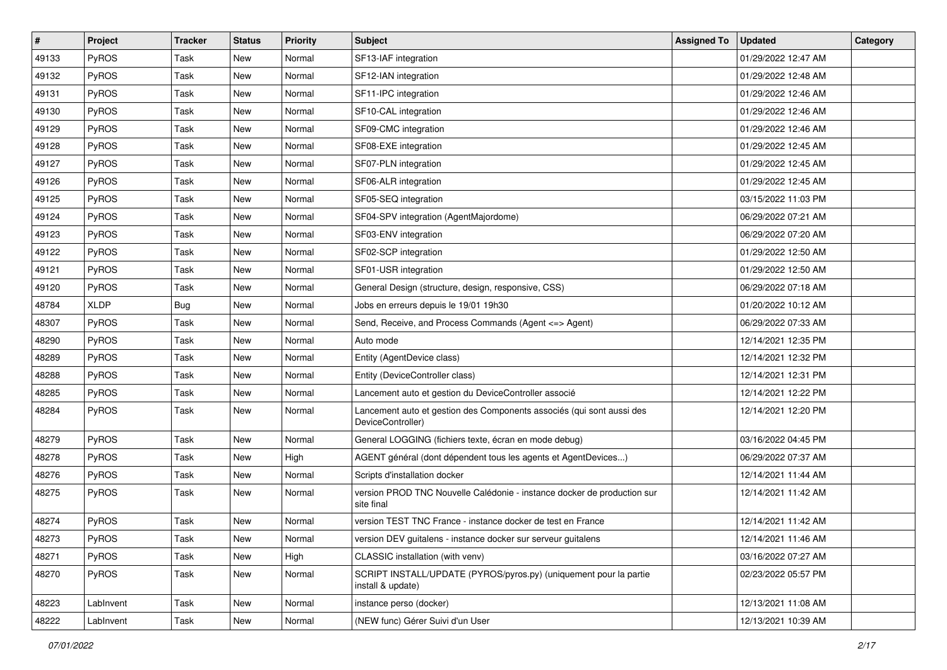| $\vert$ # | Project      | <b>Tracker</b> | <b>Status</b> | <b>Priority</b> | <b>Subject</b>                                                                             | <b>Assigned To</b> | <b>Updated</b>      | Category |
|-----------|--------------|----------------|---------------|-----------------|--------------------------------------------------------------------------------------------|--------------------|---------------------|----------|
| 49133     | PyROS        | Task           | New           | Normal          | SF13-IAF integration                                                                       |                    | 01/29/2022 12:47 AM |          |
| 49132     | PyROS        | Task           | New           | Normal          | SF12-IAN integration                                                                       |                    | 01/29/2022 12:48 AM |          |
| 49131     | PyROS        | Task           | New           | Normal          | SF11-IPC integration                                                                       |                    | 01/29/2022 12:46 AM |          |
| 49130     | <b>PyROS</b> | Task           | New           | Normal          | SF10-CAL integration                                                                       |                    | 01/29/2022 12:46 AM |          |
| 49129     | <b>PyROS</b> | Task           | New           | Normal          | SF09-CMC integration                                                                       |                    | 01/29/2022 12:46 AM |          |
| 49128     | PyROS        | Task           | New           | Normal          | SF08-EXE integration                                                                       |                    | 01/29/2022 12:45 AM |          |
| 49127     | PyROS        | Task           | <b>New</b>    | Normal          | SF07-PLN integration                                                                       |                    | 01/29/2022 12:45 AM |          |
| 49126     | <b>PyROS</b> | Task           | New           | Normal          | SF06-ALR integration                                                                       |                    | 01/29/2022 12:45 AM |          |
| 49125     | PyROS        | Task           | New           | Normal          | SF05-SEQ integration                                                                       |                    | 03/15/2022 11:03 PM |          |
| 49124     | <b>PyROS</b> | Task           | New           | Normal          | SF04-SPV integration (AgentMajordome)                                                      |                    | 06/29/2022 07:21 AM |          |
| 49123     | PyROS        | Task           | New           | Normal          | SF03-ENV integration                                                                       |                    | 06/29/2022 07:20 AM |          |
| 49122     | PyROS        | Task           | New           | Normal          | SF02-SCP integration                                                                       |                    | 01/29/2022 12:50 AM |          |
| 49121     | PyROS        | Task           | New           | Normal          | SF01-USR integration                                                                       |                    | 01/29/2022 12:50 AM |          |
| 49120     | PyROS        | Task           | New           | Normal          | General Design (structure, design, responsive, CSS)                                        |                    | 06/29/2022 07:18 AM |          |
| 48784     | <b>XLDP</b>  | <b>Bug</b>     | New           | Normal          | Jobs en erreurs depuis le 19/01 19h30                                                      |                    | 01/20/2022 10:12 AM |          |
| 48307     | <b>PyROS</b> | Task           | New           | Normal          | Send, Receive, and Process Commands (Agent <= > Agent)                                     |                    | 06/29/2022 07:33 AM |          |
| 48290     | PyROS        | Task           | New           | Normal          | Auto mode                                                                                  |                    | 12/14/2021 12:35 PM |          |
| 48289     | PyROS        | Task           | New           | Normal          | Entity (AgentDevice class)                                                                 |                    | 12/14/2021 12:32 PM |          |
| 48288     | PyROS        | Task           | New           | Normal          | Entity (DeviceController class)                                                            |                    | 12/14/2021 12:31 PM |          |
| 48285     | PyROS        | Task           | New           | Normal          | Lancement auto et gestion du DeviceController associé                                      |                    | 12/14/2021 12:22 PM |          |
| 48284     | PyROS        | Task           | New           | Normal          | Lancement auto et gestion des Components associés (qui sont aussi des<br>DeviceController) |                    | 12/14/2021 12:20 PM |          |
| 48279     | PyROS        | Task           | New           | Normal          | General LOGGING (fichiers texte, écran en mode debug)                                      |                    | 03/16/2022 04:45 PM |          |
| 48278     | <b>PyROS</b> | Task           | New           | High            | AGENT général (dont dépendent tous les agents et AgentDevices)                             |                    | 06/29/2022 07:37 AM |          |
| 48276     | PyROS        | Task           | New           | Normal          | Scripts d'installation docker                                                              |                    | 12/14/2021 11:44 AM |          |
| 48275     | <b>PyROS</b> | Task           | New           | Normal          | version PROD TNC Nouvelle Calédonie - instance docker de production sur<br>site final      |                    | 12/14/2021 11:42 AM |          |
| 48274     | PyROS        | Task           | New           | Normal          | version TEST TNC France - instance docker de test en France                                |                    | 12/14/2021 11:42 AM |          |
| 48273     | PyROS        | Task           | New           | Normal          | version DEV guitalens - instance docker sur serveur guitalens                              |                    | 12/14/2021 11:46 AM |          |
| 48271     | PyROS        | Task           | New           | High            | CLASSIC installation (with venv)                                                           |                    | 03/16/2022 07:27 AM |          |
| 48270     | <b>PyROS</b> | Task           | New           | Normal          | SCRIPT INSTALL/UPDATE (PYROS/pyros.py) (uniquement pour la partie<br>install & update)     |                    | 02/23/2022 05:57 PM |          |
| 48223     | LabInvent    | Task           | New           | Normal          | instance perso (docker)                                                                    |                    | 12/13/2021 11:08 AM |          |
| 48222     | LabInvent    | Task           | New           | Normal          | (NEW func) Gérer Suivi d'un User                                                           |                    | 12/13/2021 10:39 AM |          |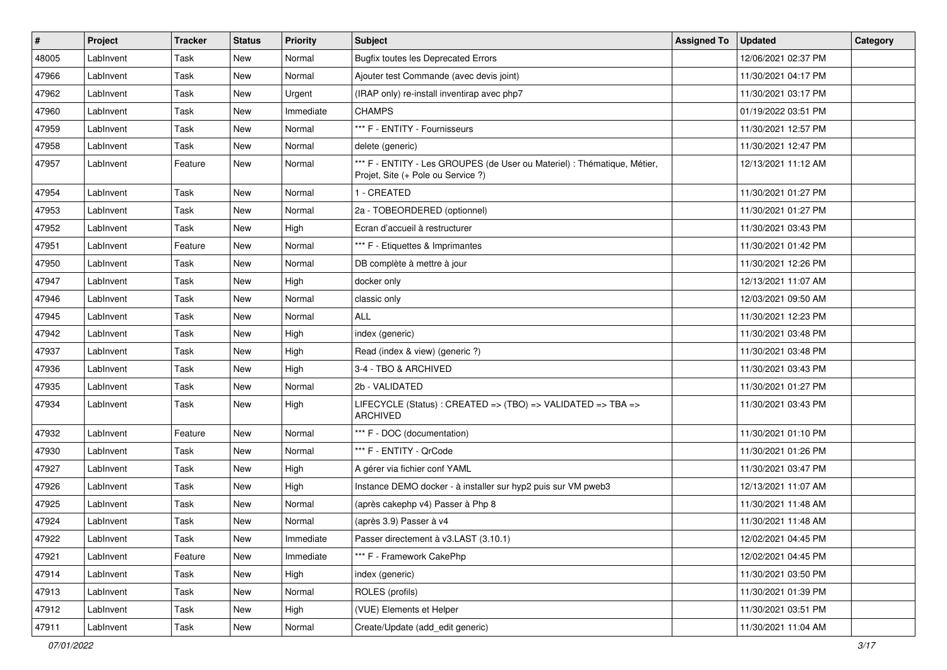| #     | Project   | Tracker     | <b>Status</b> | <b>Priority</b> | Subject                                                                                                        | <b>Assigned To</b> | <b>Updated</b>      | Category |
|-------|-----------|-------------|---------------|-----------------|----------------------------------------------------------------------------------------------------------------|--------------------|---------------------|----------|
| 48005 | LabInvent | Task        | <b>New</b>    | Normal          | <b>Bugfix toutes les Deprecated Errors</b>                                                                     |                    | 12/06/2021 02:37 PM |          |
| 47966 | LabInvent | Task        | New           | Normal          | Ajouter test Commande (avec devis joint)                                                                       |                    | 11/30/2021 04:17 PM |          |
| 47962 | LabInvent | Task        | New           | Urgent          | (IRAP only) re-install inventirap avec php7                                                                    |                    | 11/30/2021 03:17 PM |          |
| 47960 | LabInvent | Task        | <b>New</b>    | Immediate       | <b>CHAMPS</b>                                                                                                  |                    | 01/19/2022 03:51 PM |          |
| 47959 | LabInvent | Task        | New           | Normal          | *** F - ENTITY - Fournisseurs                                                                                  |                    | 11/30/2021 12:57 PM |          |
| 47958 | LabInvent | Task        | <b>New</b>    | Normal          | delete (generic)                                                                                               |                    | 11/30/2021 12:47 PM |          |
| 47957 | LabInvent | Feature     | New           | Normal          | *** F - ENTITY - Les GROUPES (de User ou Materiel) : Thématique, Métier,<br>Projet, Site (+ Pole ou Service ?) |                    | 12/13/2021 11:12 AM |          |
| 47954 | LabInvent | Task        | New           | Normal          | 1 - CREATED                                                                                                    |                    | 11/30/2021 01:27 PM |          |
| 47953 | LabInvent | Task        | <b>New</b>    | Normal          | 2a - TOBEORDERED (optionnel)                                                                                   |                    | 11/30/2021 01:27 PM |          |
| 47952 | LabInvent | Task        | New           | High            | Ecran d'accueil à restructurer                                                                                 |                    | 11/30/2021 03:43 PM |          |
| 47951 | LabInvent | Feature     | <b>New</b>    | Normal          | *** F - Etiquettes & Imprimantes                                                                               |                    | 11/30/2021 01:42 PM |          |
| 47950 | LabInvent | Task        | New           | Normal          | DB complète à mettre à jour                                                                                    |                    | 11/30/2021 12:26 PM |          |
| 47947 | LabInvent | Task        | <b>New</b>    | High            | docker only                                                                                                    |                    | 12/13/2021 11:07 AM |          |
| 47946 | LabInvent | Task        | <b>New</b>    | Normal          | classic only                                                                                                   |                    | 12/03/2021 09:50 AM |          |
| 47945 | LabInvent | Task        | <b>New</b>    | Normal          | ALL                                                                                                            |                    | 11/30/2021 12:23 PM |          |
| 47942 | LabInvent | Task        | <b>New</b>    | High            | index (generic)                                                                                                |                    | 11/30/2021 03:48 PM |          |
| 47937 | LabInvent | Task        | New           | High            | Read (index & view) (generic ?)                                                                                |                    | 11/30/2021 03:48 PM |          |
| 47936 | LabInvent | Task        | <b>New</b>    | High            | 3-4 - TBO & ARCHIVED                                                                                           |                    | 11/30/2021 03:43 PM |          |
| 47935 | LabInvent | Task        | <b>New</b>    | Normal          | 2b - VALIDATED                                                                                                 |                    | 11/30/2021 01:27 PM |          |
| 47934 | LabInvent | Task        | New           | High            | LIFECYCLE (Status) : CREATED => (TBO) => VALIDATED => TBA =><br><b>ARCHIVED</b>                                |                    | 11/30/2021 03:43 PM |          |
| 47932 | LabInvent | Feature     | <b>New</b>    | Normal          | *** F - DOC (documentation)                                                                                    |                    | 11/30/2021 01:10 PM |          |
| 47930 | LabInvent | Task        | New           | Normal          | *** F - ENTITY - QrCode                                                                                        |                    | 11/30/2021 01:26 PM |          |
| 47927 | LabInvent | <b>Task</b> | <b>New</b>    | High            | A gérer via fichier conf YAML                                                                                  |                    | 11/30/2021 03:47 PM |          |
| 47926 | LabInvent | Task        | New           | High            | Instance DEMO docker - à installer sur hyp2 puis sur VM pweb3                                                  |                    | 12/13/2021 11:07 AM |          |
| 47925 | LabInvent | Task        | <b>New</b>    | Normal          | (après cakephp v4) Passer à Php 8                                                                              |                    | 11/30/2021 11:48 AM |          |
| 47924 | LabInvent | Task        | <b>New</b>    | Normal          | (après 3.9) Passer à v4                                                                                        |                    | 11/30/2021 11:48 AM |          |
| 47922 | LabInvent | Task        | New           | Immediate       | Passer directement à v3.LAST (3.10.1)                                                                          |                    | 12/02/2021 04:45 PM |          |
| 47921 | LabInvent | Feature     | New           | Immediate       | *** F - Framework CakePhp                                                                                      |                    | 12/02/2021 04:45 PM |          |
| 47914 | LabInvent | Task        | New           | High            | index (generic)                                                                                                |                    | 11/30/2021 03:50 PM |          |
| 47913 | LabInvent | Task        | New           | Normal          | ROLES (profils)                                                                                                |                    | 11/30/2021 01:39 PM |          |
| 47912 | LabInvent | Task        | New           | High            | (VUE) Elements et Helper                                                                                       |                    | 11/30/2021 03:51 PM |          |
| 47911 | LabInvent | Task        | New           | Normal          | Create/Update (add_edit generic)                                                                               |                    | 11/30/2021 11:04 AM |          |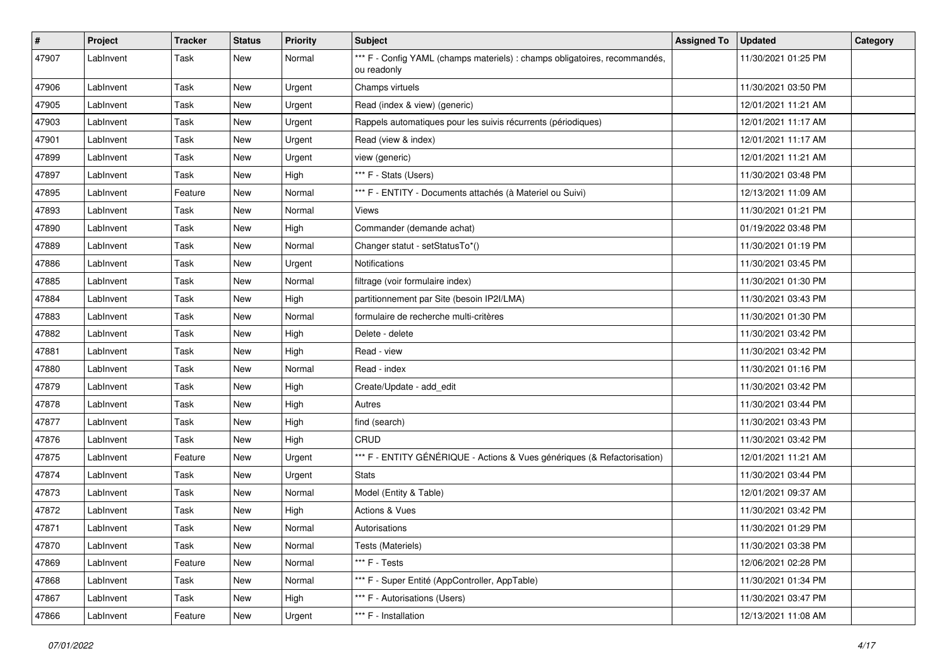| $\vert$ # | Project   | <b>Tracker</b> | <b>Status</b> | <b>Priority</b> | <b>Subject</b>                                                                            | <b>Assigned To</b> | <b>Updated</b>      | Category |
|-----------|-----------|----------------|---------------|-----------------|-------------------------------------------------------------------------------------------|--------------------|---------------------|----------|
| 47907     | LabInvent | Task           | New           | Normal          | *** F - Config YAML (champs materiels) : champs obligatoires, recommandés,<br>ou readonly |                    | 11/30/2021 01:25 PM |          |
| 47906     | LabInvent | Task           | New           | Urgent          | Champs virtuels                                                                           |                    | 11/30/2021 03:50 PM |          |
| 47905     | LabInvent | Task           | New           | Urgent          | Read (index & view) (generic)                                                             |                    | 12/01/2021 11:21 AM |          |
| 47903     | LabInvent | Task           | <b>New</b>    | Urgent          | Rappels automatiques pour les suivis récurrents (périodiques)                             |                    | 12/01/2021 11:17 AM |          |
| 47901     | LabInvent | Task           | New           | Urgent          | Read (view & index)                                                                       |                    | 12/01/2021 11:17 AM |          |
| 47899     | LabInvent | Task           | New           | Urgent          | view (generic)                                                                            |                    | 12/01/2021 11:21 AM |          |
| 47897     | LabInvent | Task           | New           | High            | *** F - Stats (Users)                                                                     |                    | 11/30/2021 03:48 PM |          |
| 47895     | LabInvent | Feature        | New           | Normal          | *** F - ENTITY - Documents attachés (à Materiel ou Suivi)                                 |                    | 12/13/2021 11:09 AM |          |
| 47893     | LabInvent | Task           | <b>New</b>    | Normal          | Views                                                                                     |                    | 11/30/2021 01:21 PM |          |
| 47890     | LabInvent | Task           | <b>New</b>    | High            | Commander (demande achat)                                                                 |                    | 01/19/2022 03:48 PM |          |
| 47889     | LabInvent | Task           | New           | Normal          | Changer statut - setStatusTo*()                                                           |                    | 11/30/2021 01:19 PM |          |
| 47886     | LabInvent | Task           | New           | Urgent          | <b>Notifications</b>                                                                      |                    | 11/30/2021 03:45 PM |          |
| 47885     | LabInvent | Task           | <b>New</b>    | Normal          | filtrage (voir formulaire index)                                                          |                    | 11/30/2021 01:30 PM |          |
| 47884     | LabInvent | Task           | <b>New</b>    | High            | partitionnement par Site (besoin IP2I/LMA)                                                |                    | 11/30/2021 03:43 PM |          |
| 47883     | LabInvent | Task           | New           | Normal          | formulaire de recherche multi-critères                                                    |                    | 11/30/2021 01:30 PM |          |
| 47882     | LabInvent | Task           | New           | High            | Delete - delete                                                                           |                    | 11/30/2021 03:42 PM |          |
| 47881     | LabInvent | Task           | <b>New</b>    | High            | Read - view                                                                               |                    | 11/30/2021 03:42 PM |          |
| 47880     | LabInvent | Task           | <b>New</b>    | Normal          | Read - index                                                                              |                    | 11/30/2021 01:16 PM |          |
| 47879     | LabInvent | Task           | <b>New</b>    | High            | Create/Update - add_edit                                                                  |                    | 11/30/2021 03:42 PM |          |
| 47878     | LabInvent | Task           | New           | High            | Autres                                                                                    |                    | 11/30/2021 03:44 PM |          |
| 47877     | LabInvent | Task           | <b>New</b>    | High            | find (search)                                                                             |                    | 11/30/2021 03:43 PM |          |
| 47876     | LabInvent | Task           | <b>New</b>    | High            | CRUD                                                                                      |                    | 11/30/2021 03:42 PM |          |
| 47875     | LabInvent | Feature        | New           | Urgent          | *** F - ENTITY GÉNÉRIQUE - Actions & Vues génériques (& Refactorisation)                  |                    | 12/01/2021 11:21 AM |          |
| 47874     | LabInvent | Task           | New           | Urgent          | <b>Stats</b>                                                                              |                    | 11/30/2021 03:44 PM |          |
| 47873     | LabInvent | Task           | New           | Normal          | Model (Entity & Table)                                                                    |                    | 12/01/2021 09:37 AM |          |
| 47872     | LabInvent | Task           | New           | High            | Actions & Vues                                                                            |                    | 11/30/2021 03:42 PM |          |
| 47871     | LabInvent | Task           | <b>New</b>    | Normal          | Autorisations                                                                             |                    | 11/30/2021 01:29 PM |          |
| 47870     | LabInvent | Task           | New           | Normal          | Tests (Materiels)                                                                         |                    | 11/30/2021 03:38 PM |          |
| 47869     | LabInvent | Feature        | New           | Normal          | *** F - Tests                                                                             |                    | 12/06/2021 02:28 PM |          |
| 47868     | LabInvent | Task           | New           | Normal          | *** F - Super Entité (AppController, AppTable)                                            |                    | 11/30/2021 01:34 PM |          |
| 47867     | LabInvent | Task           | New           | High            | *** F - Autorisations (Users)                                                             |                    | 11/30/2021 03:47 PM |          |
| 47866     | LabInvent | Feature        | New           | Urgent          | *** F - Installation                                                                      |                    | 12/13/2021 11:08 AM |          |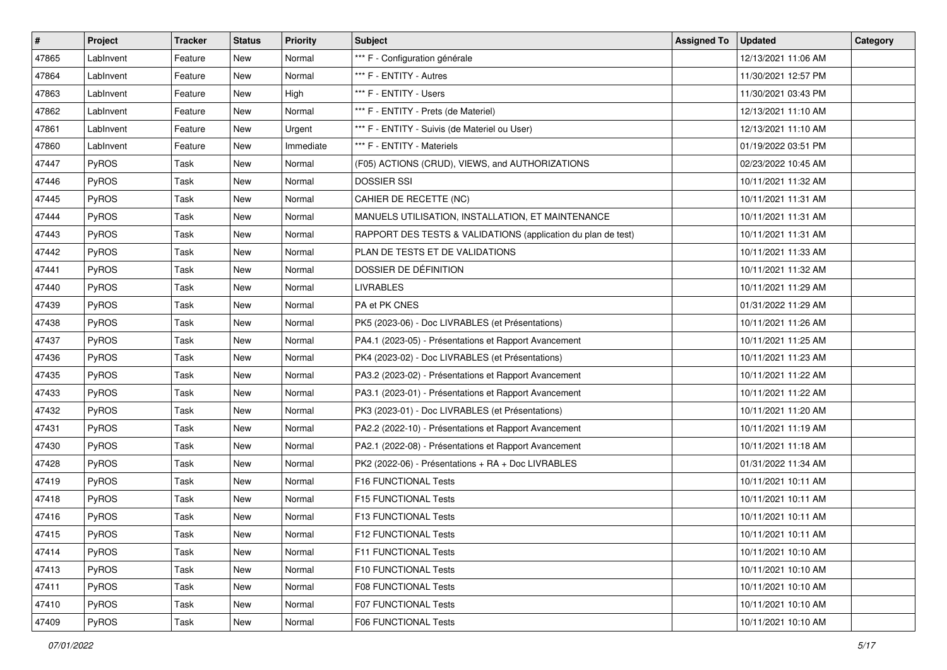| #     | Project      | Tracker     | <b>Status</b> | <b>Priority</b> | Subject                                                       | <b>Assigned To</b> | <b>Updated</b>      | Category |
|-------|--------------|-------------|---------------|-----------------|---------------------------------------------------------------|--------------------|---------------------|----------|
| 47865 | LabInvent    | Feature     | New           | Normal          | *** F - Configuration générale                                |                    | 12/13/2021 11:06 AM |          |
| 47864 | LabInvent    | Feature     | New           | Normal          | *** F - ENTITY - Autres                                       |                    | 11/30/2021 12:57 PM |          |
| 47863 | LabInvent    | Feature     | New           | High            | *** F - ENTITY - Users                                        |                    | 11/30/2021 03:43 PM |          |
| 47862 | LabInvent    | Feature     | New           | Normal          | *** F - ENTITY - Prets (de Materiel)                          |                    | 12/13/2021 11:10 AM |          |
| 47861 | LabInvent    | Feature     | New           | Urgent          | *** F - ENTITY - Suivis (de Materiel ou User)                 |                    | 12/13/2021 11:10 AM |          |
| 47860 | LabInvent    | Feature     | New           | Immediate       | *** F - ENTITY - Materiels                                    |                    | 01/19/2022 03:51 PM |          |
| 47447 | PyROS        | Task        | <b>New</b>    | Normal          | (F05) ACTIONS (CRUD), VIEWS, and AUTHORIZATIONS               |                    | 02/23/2022 10:45 AM |          |
| 47446 | <b>PyROS</b> | Task        | New           | Normal          | <b>DOSSIER SSI</b>                                            |                    | 10/11/2021 11:32 AM |          |
| 47445 | PyROS        | Task        | New           | Normal          | CAHIER DE RECETTE (NC)                                        |                    | 10/11/2021 11:31 AM |          |
| 47444 | PyROS        | Task        | New           | Normal          | MANUELS UTILISATION, INSTALLATION, ET MAINTENANCE             |                    | 10/11/2021 11:31 AM |          |
| 47443 | PyROS        | Task        | New           | Normal          | RAPPORT DES TESTS & VALIDATIONS (application du plan de test) |                    | 10/11/2021 11:31 AM |          |
| 47442 | PyROS        | <b>Task</b> | <b>New</b>    | Normal          | PLAN DE TESTS ET DE VALIDATIONS                               |                    | 10/11/2021 11:33 AM |          |
| 47441 | PyROS        | Task        | New           | Normal          | DOSSIER DE DÉFINITION                                         |                    | 10/11/2021 11:32 AM |          |
| 47440 | PyROS        | Task        | <b>New</b>    | Normal          | <b>LIVRABLES</b>                                              |                    | 10/11/2021 11:29 AM |          |
| 47439 | PyROS        | Task        | New           | Normal          | PA et PK CNES                                                 |                    | 01/31/2022 11:29 AM |          |
| 47438 | <b>PyROS</b> | Task        | New           | Normal          | PK5 (2023-06) - Doc LIVRABLES (et Présentations)              |                    | 10/11/2021 11:26 AM |          |
| 47437 | PyROS        | Task        | New           | Normal          | PA4.1 (2023-05) - Présentations et Rapport Avancement         |                    | 10/11/2021 11:25 AM |          |
| 47436 | PyROS        | Task        | New           | Normal          | PK4 (2023-02) - Doc LIVRABLES (et Présentations)              |                    | 10/11/2021 11:23 AM |          |
| 47435 | PyROS        | Task        | New           | Normal          | PA3.2 (2023-02) - Présentations et Rapport Avancement         |                    | 10/11/2021 11:22 AM |          |
| 47433 | PyROS        | Task        | New           | Normal          | PA3.1 (2023-01) - Présentations et Rapport Avancement         |                    | 10/11/2021 11:22 AM |          |
| 47432 | PyROS        | Task        | New           | Normal          | PK3 (2023-01) - Doc LIVRABLES (et Présentations)              |                    | 10/11/2021 11:20 AM |          |
| 47431 | PyROS        | Task        | New           | Normal          | PA2.2 (2022-10) - Présentations et Rapport Avancement         |                    | 10/11/2021 11:19 AM |          |
| 47430 | PyROS        | Task        | New           | Normal          | PA2.1 (2022-08) - Présentations et Rapport Avancement         |                    | 10/11/2021 11:18 AM |          |
| 47428 | PyROS        | Task        | New           | Normal          | PK2 (2022-06) - Présentations + RA + Doc LIVRABLES            |                    | 01/31/2022 11:34 AM |          |
| 47419 | PyROS        | Task        | <b>New</b>    | Normal          | F16 FUNCTIONAL Tests                                          |                    | 10/11/2021 10:11 AM |          |
| 47418 | PyROS        | Task        | New           | Normal          | F15 FUNCTIONAL Tests                                          |                    | 10/11/2021 10:11 AM |          |
| 47416 | PyROS        | Task        | <b>New</b>    | Normal          | F13 FUNCTIONAL Tests                                          |                    | 10/11/2021 10:11 AM |          |
| 47415 | PyROS        | Task        | New           | Normal          | F12 FUNCTIONAL Tests                                          |                    | 10/11/2021 10:11 AM |          |
| 47414 | <b>PyROS</b> | Task        | New           | Normal          | F11 FUNCTIONAL Tests                                          |                    | 10/11/2021 10:10 AM |          |
| 47413 | PyROS        | Task        | New           | Normal          | F10 FUNCTIONAL Tests                                          |                    | 10/11/2021 10:10 AM |          |
| 47411 | PyROS        | Task        | New           | Normal          | <b>F08 FUNCTIONAL Tests</b>                                   |                    | 10/11/2021 10:10 AM |          |
| 47410 | PyROS        | Task        | New           | Normal          | F07 FUNCTIONAL Tests                                          |                    | 10/11/2021 10:10 AM |          |
| 47409 | PyROS        | Task        | New           | Normal          | F06 FUNCTIONAL Tests                                          |                    | 10/11/2021 10:10 AM |          |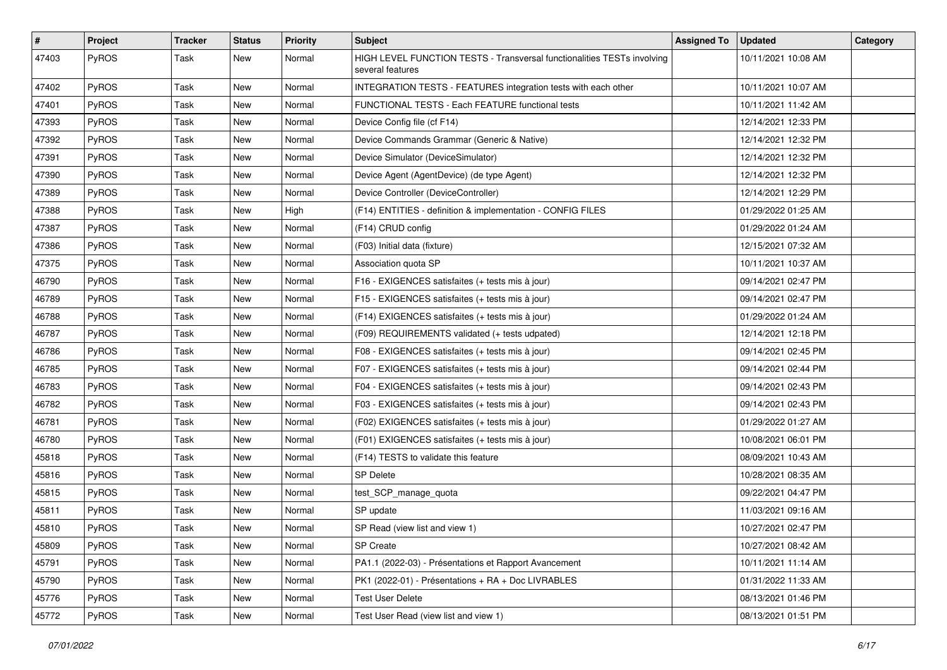| $\vert$ # | Project      | <b>Tracker</b> | <b>Status</b> | <b>Priority</b> | <b>Subject</b>                                                                              | <b>Assigned To</b> | <b>Updated</b>      | Category |
|-----------|--------------|----------------|---------------|-----------------|---------------------------------------------------------------------------------------------|--------------------|---------------------|----------|
| 47403     | PyROS        | Task           | New           | Normal          | HIGH LEVEL FUNCTION TESTS - Transversal functionalities TESTs involving<br>several features |                    | 10/11/2021 10:08 AM |          |
| 47402     | PyROS        | Task           | New           | Normal          | INTEGRATION TESTS - FEATURES integration tests with each other                              |                    | 10/11/2021 10:07 AM |          |
| 47401     | PyROS        | Task           | New           | Normal          | FUNCTIONAL TESTS - Each FEATURE functional tests                                            |                    | 10/11/2021 11:42 AM |          |
| 47393     | PyROS        | Task           | <b>New</b>    | Normal          | Device Config file (cf F14)                                                                 |                    | 12/14/2021 12:33 PM |          |
| 47392     | <b>PyROS</b> | Task           | <b>New</b>    | Normal          | Device Commands Grammar (Generic & Native)                                                  |                    | 12/14/2021 12:32 PM |          |
| 47391     | PyROS        | Task           | <b>New</b>    | Normal          | Device Simulator (DeviceSimulator)                                                          |                    | 12/14/2021 12:32 PM |          |
| 47390     | PyROS        | Task           | New           | Normal          | Device Agent (AgentDevice) (de type Agent)                                                  |                    | 12/14/2021 12:32 PM |          |
| 47389     | PyROS        | Task           | <b>New</b>    | Normal          | Device Controller (DeviceController)                                                        |                    | 12/14/2021 12:29 PM |          |
| 47388     | PyROS        | Task           | <b>New</b>    | High            | (F14) ENTITIES - definition & implementation - CONFIG FILES                                 |                    | 01/29/2022 01:25 AM |          |
| 47387     | PyROS        | Task           | New           | Normal          | (F14) CRUD config                                                                           |                    | 01/29/2022 01:24 AM |          |
| 47386     | PyROS        | Task           | New           | Normal          | (F03) Initial data (fixture)                                                                |                    | 12/15/2021 07:32 AM |          |
| 47375     | PyROS        | Task           | New           | Normal          | Association quota SP                                                                        |                    | 10/11/2021 10:37 AM |          |
| 46790     | PyROS        | Task           | New           | Normal          | F16 - EXIGENCES satisfaites (+ tests mis à jour)                                            |                    | 09/14/2021 02:47 PM |          |
| 46789     | PyROS        | Task           | <b>New</b>    | Normal          | F15 - EXIGENCES satisfaites (+ tests mis à jour)                                            |                    | 09/14/2021 02:47 PM |          |
| 46788     | PyROS        | Task           | <b>New</b>    | Normal          | (F14) EXIGENCES satisfaites (+ tests mis à jour)                                            |                    | 01/29/2022 01:24 AM |          |
| 46787     | PyROS        | Task           | New           | Normal          | (F09) REQUIREMENTS validated (+ tests udpated)                                              |                    | 12/14/2021 12:18 PM |          |
| 46786     | PyROS        | Task           | New           | Normal          | F08 - EXIGENCES satisfaites (+ tests mis à jour)                                            |                    | 09/14/2021 02:45 PM |          |
| 46785     | <b>PyROS</b> | Task           | <b>New</b>    | Normal          | F07 - EXIGENCES satisfaites (+ tests mis à jour)                                            |                    | 09/14/2021 02:44 PM |          |
| 46783     | PyROS        | Task           | New           | Normal          | F04 - EXIGENCES satisfaites (+ tests mis à jour)                                            |                    | 09/14/2021 02:43 PM |          |
| 46782     | PyROS        | Task           | New           | Normal          | F03 - EXIGENCES satisfaites (+ tests mis à jour)                                            |                    | 09/14/2021 02:43 PM |          |
| 46781     | PyROS        | Task           | New           | Normal          | (F02) EXIGENCES satisfaites (+ tests mis à jour)                                            |                    | 01/29/2022 01:27 AM |          |
| 46780     | PyROS        | Task           | <b>New</b>    | Normal          | (F01) EXIGENCES satisfaites (+ tests mis à jour)                                            |                    | 10/08/2021 06:01 PM |          |
| 45818     | PyROS        | Task           | New           | Normal          | (F14) TESTS to validate this feature                                                        |                    | 08/09/2021 10:43 AM |          |
| 45816     | PyROS        | Task           | New           | Normal          | <b>SP Delete</b>                                                                            |                    | 10/28/2021 08:35 AM |          |
| 45815     | PyROS        | Task           | New           | Normal          | test_SCP_manage_quota                                                                       |                    | 09/22/2021 04:47 PM |          |
| 45811     | PyROS        | Task           | New           | Normal          | SP update                                                                                   |                    | 11/03/2021 09:16 AM |          |
| 45810     | PyROS        | Task           | New           | Normal          | SP Read (view list and view 1)                                                              |                    | 10/27/2021 02:47 PM |          |
| 45809     | PyROS        | Task           | New           | Normal          | <b>SP</b> Create                                                                            |                    | 10/27/2021 08:42 AM |          |
| 45791     | PyROS        | Task           | New           | Normal          | PA1.1 (2022-03) - Présentations et Rapport Avancement                                       |                    | 10/11/2021 11:14 AM |          |
| 45790     | PyROS        | Task           | New           | Normal          | PK1 (2022-01) - Présentations + RA + Doc LIVRABLES                                          |                    | 01/31/2022 11:33 AM |          |
| 45776     | PyROS        | Task           | New           | Normal          | <b>Test User Delete</b>                                                                     |                    | 08/13/2021 01:46 PM |          |
| 45772     | PyROS        | Task           | New           | Normal          | Test User Read (view list and view 1)                                                       |                    | 08/13/2021 01:51 PM |          |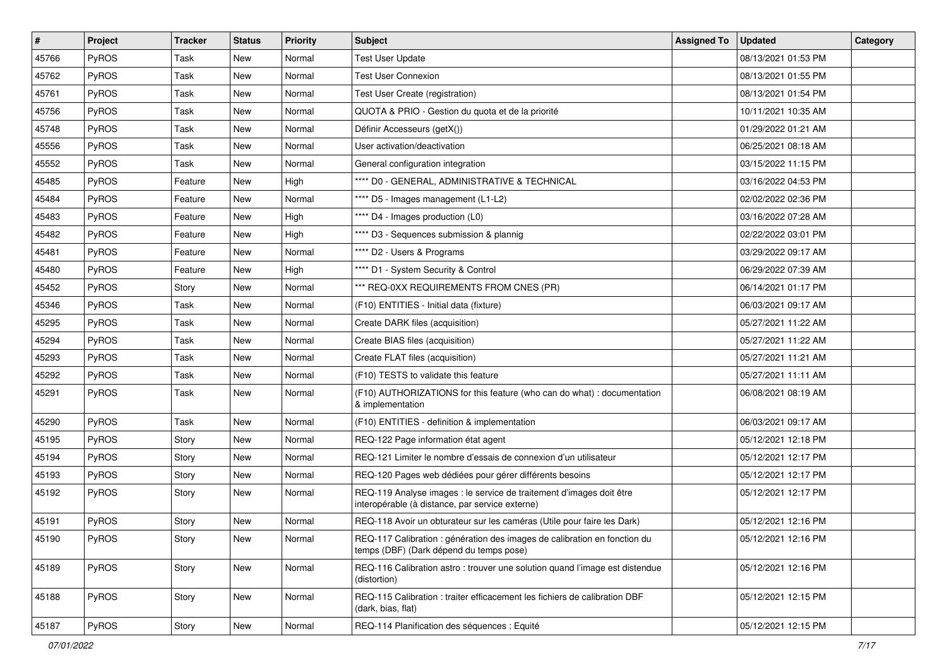| $\vert$ # | Project      | <b>Tracker</b> | <b>Status</b> | <b>Priority</b> | Subject                                                                                                                 | <b>Assigned To</b> | <b>Updated</b>      | Category |
|-----------|--------------|----------------|---------------|-----------------|-------------------------------------------------------------------------------------------------------------------------|--------------------|---------------------|----------|
| 45766     | PyROS        | Task           | New           | Normal          | <b>Test User Update</b>                                                                                                 |                    | 08/13/2021 01:53 PM |          |
| 45762     | PyROS        | Task           | New           | Normal          | <b>Test User Connexion</b>                                                                                              |                    | 08/13/2021 01:55 PM |          |
| 45761     | PyROS        | Task           | New           | Normal          | Test User Create (registration)                                                                                         |                    | 08/13/2021 01:54 PM |          |
| 45756     | PyROS        | Task           | New           | Normal          | QUOTA & PRIO - Gestion du quota et de la priorité                                                                       |                    | 10/11/2021 10:35 AM |          |
| 45748     | PyROS        | Task           | New           | Normal          | Définir Accesseurs (getX())                                                                                             |                    | 01/29/2022 01:21 AM |          |
| 45556     | PyROS        | Task           | New           | Normal          | User activation/deactivation                                                                                            |                    | 06/25/2021 08:18 AM |          |
| 45552     | PyROS        | Task           | <b>New</b>    | Normal          | General configuration integration                                                                                       |                    | 03/15/2022 11:15 PM |          |
| 45485     | PyROS        | Feature        | New           | High            | **** D0 - GENERAL, ADMINISTRATIVE & TECHNICAL                                                                           |                    | 03/16/2022 04:53 PM |          |
| 45484     | PyROS        | Feature        | New           | Normal          | **** D5 - Images management (L1-L2)                                                                                     |                    | 02/02/2022 02:36 PM |          |
| 45483     | PyROS        | Feature        | New           | High            | **** D4 - Images production (L0)                                                                                        |                    | 03/16/2022 07:28 AM |          |
| 45482     | PyROS        | Feature        | New           | High            | **** D3 - Sequences submission & plannig                                                                                |                    | 02/22/2022 03:01 PM |          |
| 45481     | PyROS        | Feature        | New           | Normal          | **** D2 - Users & Programs                                                                                              |                    | 03/29/2022 09:17 AM |          |
| 45480     | PyROS        | Feature        | New           | High            | **** D1 - System Security & Control                                                                                     |                    | 06/29/2022 07:39 AM |          |
| 45452     | PyROS        | Story          | New           | Normal          | *** REQ-0XX REQUIREMENTS FROM CNES (PR)                                                                                 |                    | 06/14/2021 01:17 PM |          |
| 45346     | PyROS        | Task           | New           | Normal          | (F10) ENTITIES - Initial data (fixture)                                                                                 |                    | 06/03/2021 09:17 AM |          |
| 45295     | PyROS        | Task           | New           | Normal          | Create DARK files (acquisition)                                                                                         |                    | 05/27/2021 11:22 AM |          |
| 45294     | PyROS        | Task           | New           | Normal          | Create BIAS files (acquisition)                                                                                         |                    | 05/27/2021 11:22 AM |          |
| 45293     | PyROS        | Task           | New           | Normal          | Create FLAT files (acquisition)                                                                                         |                    | 05/27/2021 11:21 AM |          |
| 45292     | PyROS        | Task           | New           | Normal          | (F10) TESTS to validate this feature                                                                                    |                    | 05/27/2021 11:11 AM |          |
| 45291     | PyROS        | Task           | New           | Normal          | (F10) AUTHORIZATIONS for this feature (who can do what) : documentation<br>& implementation                             |                    | 06/08/2021 08:19 AM |          |
| 45290     | PyROS        | Task           | New           | Normal          | (F10) ENTITIES - definition & implementation                                                                            |                    | 06/03/2021 09:17 AM |          |
| 45195     | PyROS        | Story          | New           | Normal          | REQ-122 Page information état agent                                                                                     |                    | 05/12/2021 12:18 PM |          |
| 45194     | PyROS        | Story          | New           | Normal          | REQ-121 Limiter le nombre d'essais de connexion d'un utilisateur                                                        |                    | 05/12/2021 12:17 PM |          |
| 45193     | PyROS        | Story          | New           | Normal          | REQ-120 Pages web dédiées pour gérer différents besoins                                                                 |                    | 05/12/2021 12:17 PM |          |
| 45192     | <b>PyROS</b> | Story          | New           | Normal          | REQ-119 Analyse images : le service de traitement d'images doit être<br>interopérable (à distance, par service externe) |                    | 05/12/2021 12:17 PM |          |
| 45191     | PyROS        | Story          | New           | Normal          | REQ-118 Avoir un obturateur sur les caméras (Utile pour faire les Dark)                                                 |                    | 05/12/2021 12:16 PM |          |
| 45190     | PyROS        | Story          | New           | Normal          | REQ-117 Calibration : génération des images de calibration en fonction du<br>temps (DBF) (Dark dépend du temps pose)    |                    | 05/12/2021 12:16 PM |          |
| 45189     | PyROS        | Story          | New           | Normal          | REQ-116 Calibration astro: trouver une solution quand l'image est distendue<br>(distortion)                             |                    | 05/12/2021 12:16 PM |          |
| 45188     | PyROS        | Story          | New           | Normal          | REQ-115 Calibration : traiter efficacement les fichiers de calibration DBF<br>(dark, bias, flat)                        |                    | 05/12/2021 12:15 PM |          |
| 45187     | PyROS        | Story          | New           | Normal          | REQ-114 Planification des séquences : Equité                                                                            |                    | 05/12/2021 12:15 PM |          |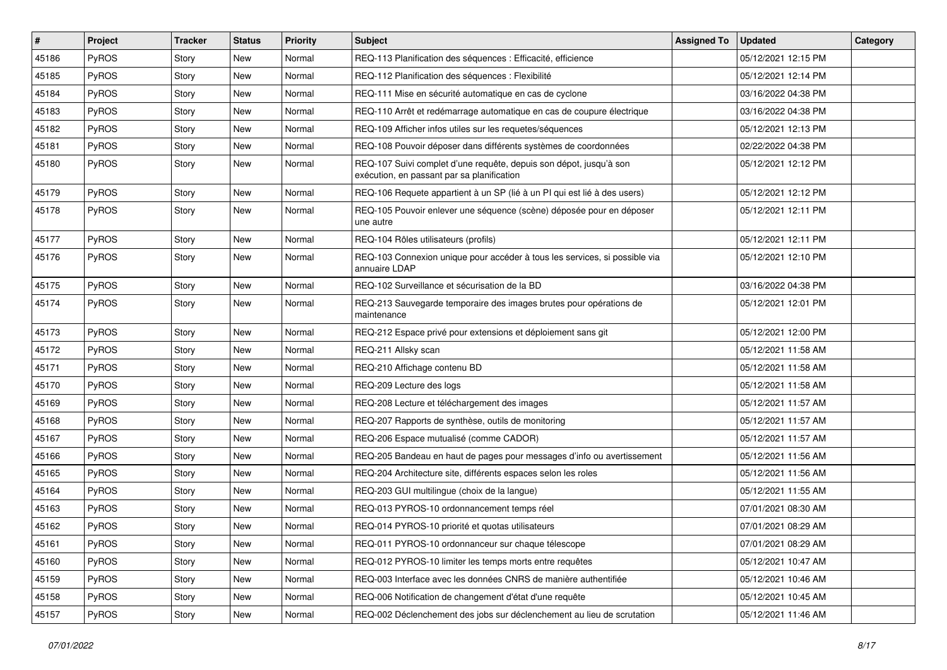| $\vert$ # | Project      | <b>Tracker</b> | <b>Status</b> | <b>Priority</b> | <b>Subject</b>                                                                                                   | <b>Assigned To</b> | <b>Updated</b>      | Category |
|-----------|--------------|----------------|---------------|-----------------|------------------------------------------------------------------------------------------------------------------|--------------------|---------------------|----------|
| 45186     | PyROS        | Story          | New           | Normal          | REQ-113 Planification des séquences : Efficacité, efficience                                                     |                    | 05/12/2021 12:15 PM |          |
| 45185     | PyROS        | Story          | New           | Normal          | REQ-112 Planification des séquences : Flexibilité                                                                |                    | 05/12/2021 12:14 PM |          |
| 45184     | <b>PyROS</b> | Story          | New           | Normal          | REQ-111 Mise en sécurité automatique en cas de cyclone                                                           |                    | 03/16/2022 04:38 PM |          |
| 45183     | PyROS        | Story          | New           | Normal          | REQ-110 Arrêt et redémarrage automatique en cas de coupure électrique                                            |                    | 03/16/2022 04:38 PM |          |
| 45182     | PyROS        | Story          | New           | Normal          | REQ-109 Afficher infos utiles sur les requetes/séquences                                                         |                    | 05/12/2021 12:13 PM |          |
| 45181     | PyROS        | Story          | New           | Normal          | REQ-108 Pouvoir déposer dans différents systèmes de coordonnées                                                  |                    | 02/22/2022 04:38 PM |          |
| 45180     | PyROS        | Story          | <b>New</b>    | Normal          | REQ-107 Suivi complet d'une requête, depuis son dépot, jusqu'à son<br>exécution, en passant par sa planification |                    | 05/12/2021 12:12 PM |          |
| 45179     | PyROS        | Story          | <b>New</b>    | Normal          | REQ-106 Requete appartient à un SP (lié à un PI qui est lié à des users)                                         |                    | 05/12/2021 12:12 PM |          |
| 45178     | PyROS        | Story          | New           | Normal          | REQ-105 Pouvoir enlever une séquence (scène) déposée pour en déposer<br>une autre                                |                    | 05/12/2021 12:11 PM |          |
| 45177     | PyROS        | Story          | New           | Normal          | REQ-104 Rôles utilisateurs (profils)                                                                             |                    | 05/12/2021 12:11 PM |          |
| 45176     | <b>PyROS</b> | Story          | New           | Normal          | REQ-103 Connexion unique pour accéder à tous les services, si possible via<br>annuaire LDAP                      |                    | 05/12/2021 12:10 PM |          |
| 45175     | PyROS        | Story          | <b>New</b>    | Normal          | REQ-102 Surveillance et sécurisation de la BD                                                                    |                    | 03/16/2022 04:38 PM |          |
| 45174     | PyROS        | Story          | New           | Normal          | REQ-213 Sauvegarde temporaire des images brutes pour opérations de<br>maintenance                                |                    | 05/12/2021 12:01 PM |          |
| 45173     | PyROS        | Story          | New           | Normal          | REQ-212 Espace privé pour extensions et déploiement sans git                                                     |                    | 05/12/2021 12:00 PM |          |
| 45172     | PyROS        | Story          | New           | Normal          | REQ-211 Allsky scan                                                                                              |                    | 05/12/2021 11:58 AM |          |
| 45171     | PyROS        | Story          | New           | Normal          | REQ-210 Affichage contenu BD                                                                                     |                    | 05/12/2021 11:58 AM |          |
| 45170     | PyROS        | Story          | New           | Normal          | REQ-209 Lecture des logs                                                                                         |                    | 05/12/2021 11:58 AM |          |
| 45169     | PyROS        | Story          | New           | Normal          | REQ-208 Lecture et téléchargement des images                                                                     |                    | 05/12/2021 11:57 AM |          |
| 45168     | PyROS        | Story          | <b>New</b>    | Normal          | REQ-207 Rapports de synthèse, outils de monitoring                                                               |                    | 05/12/2021 11:57 AM |          |
| 45167     | PyROS        | Story          | New           | Normal          | REQ-206 Espace mutualisé (comme CADOR)                                                                           |                    | 05/12/2021 11:57 AM |          |
| 45166     | PyROS        | Story          | New           | Normal          | REQ-205 Bandeau en haut de pages pour messages d'info ou avertissement                                           |                    | 05/12/2021 11:56 AM |          |
| 45165     | PyROS        | Story          | New           | Normal          | REQ-204 Architecture site, différents espaces selon les roles                                                    |                    | 05/12/2021 11:56 AM |          |
| 45164     | PyROS        | Story          | New           | Normal          | REQ-203 GUI multilingue (choix de la langue)                                                                     |                    | 05/12/2021 11:55 AM |          |
| 45163     | PyROS        | Story          | New           | Normal          | REQ-013 PYROS-10 ordonnancement temps réel                                                                       |                    | 07/01/2021 08:30 AM |          |
| 45162     | PyROS        | Story          | New           | Normal          | REQ-014 PYROS-10 priorité et quotas utilisateurs                                                                 |                    | 07/01/2021 08:29 AM |          |
| 45161     | PyROS        | Story          | New           | Normal          | REQ-011 PYROS-10 ordonnanceur sur chaque télescope                                                               |                    | 07/01/2021 08:29 AM |          |
| 45160     | PyROS        | Story          | New           | Normal          | REQ-012 PYROS-10 limiter les temps morts entre requêtes                                                          |                    | 05/12/2021 10:47 AM |          |
| 45159     | PyROS        | Story          | New           | Normal          | REQ-003 Interface avec les données CNRS de manière authentifiée                                                  |                    | 05/12/2021 10:46 AM |          |
| 45158     | PyROS        | Story          | New           | Normal          | REQ-006 Notification de changement d'état d'une requête                                                          |                    | 05/12/2021 10:45 AM |          |
| 45157     | PyROS        | Story          | New           | Normal          | REQ-002 Déclenchement des jobs sur déclenchement au lieu de scrutation                                           |                    | 05/12/2021 11:46 AM |          |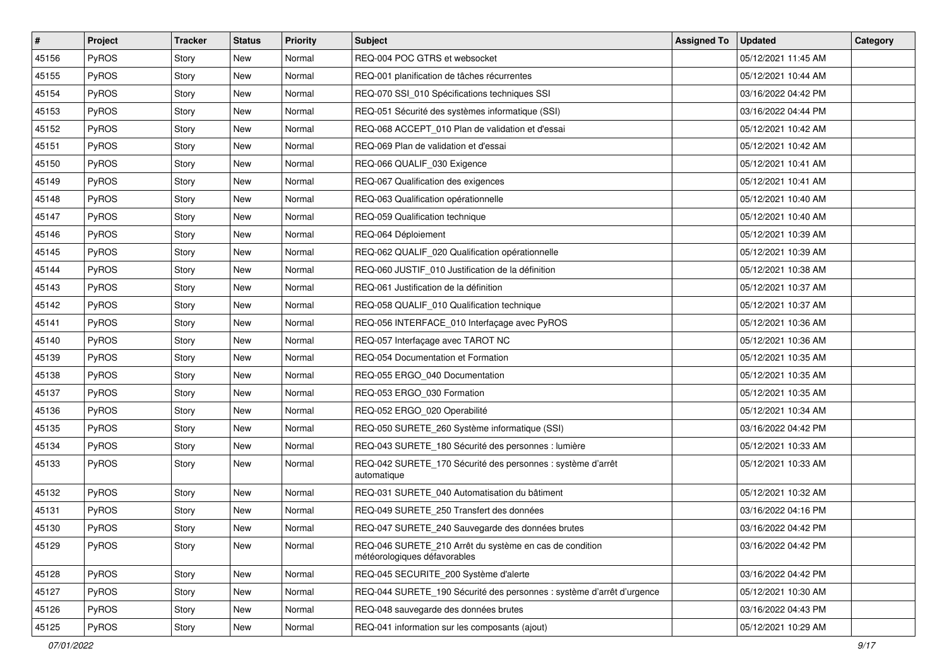| $\sharp$ | Project      | Tracker | <b>Status</b> | Priority | <b>Subject</b>                                                                          | <b>Assigned To</b> | <b>Updated</b>      | Category |
|----------|--------------|---------|---------------|----------|-----------------------------------------------------------------------------------------|--------------------|---------------------|----------|
| 45156    | PyROS        | Story   | New           | Normal   | REQ-004 POC GTRS et websocket                                                           |                    | 05/12/2021 11:45 AM |          |
| 45155    | PyROS        | Story   | New           | Normal   | REQ-001 planification de tâches récurrentes                                             |                    | 05/12/2021 10:44 AM |          |
| 45154    | <b>PyROS</b> | Story   | New           | Normal   | REQ-070 SSI 010 Spécifications techniques SSI                                           |                    | 03/16/2022 04:42 PM |          |
| 45153    | PyROS        | Story   | New           | Normal   | REQ-051 Sécurité des systèmes informatique (SSI)                                        |                    | 03/16/2022 04:44 PM |          |
| 45152    | PyROS        | Story   | <b>New</b>    | Normal   | REQ-068 ACCEPT_010 Plan de validation et d'essai                                        |                    | 05/12/2021 10:42 AM |          |
| 45151    | PyROS        | Story   | New           | Normal   | REQ-069 Plan de validation et d'essai                                                   |                    | 05/12/2021 10:42 AM |          |
| 45150    | PyROS        | Story   | <b>New</b>    | Normal   | REQ-066 QUALIF 030 Exigence                                                             |                    | 05/12/2021 10:41 AM |          |
| 45149    | PyROS        | Story   | New           | Normal   | REQ-067 Qualification des exigences                                                     |                    | 05/12/2021 10:41 AM |          |
| 45148    | PyROS        | Story   | New           | Normal   | REQ-063 Qualification opérationnelle                                                    |                    | 05/12/2021 10:40 AM |          |
| 45147    | PyROS        | Story   | <b>New</b>    | Normal   | REQ-059 Qualification technique                                                         |                    | 05/12/2021 10:40 AM |          |
| 45146    | PyROS        | Story   | New           | Normal   | REQ-064 Déploiement                                                                     |                    | 05/12/2021 10:39 AM |          |
| 45145    | PyROS        | Story   | <b>New</b>    | Normal   | REQ-062 QUALIF_020 Qualification opérationnelle                                         |                    | 05/12/2021 10:39 AM |          |
| 45144    | PyROS        | Story   | New           | Normal   | REQ-060 JUSTIF_010 Justification de la définition                                       |                    | 05/12/2021 10:38 AM |          |
| 45143    | PyROS        | Story   | <b>New</b>    | Normal   | REQ-061 Justification de la définition                                                  |                    | 05/12/2021 10:37 AM |          |
| 45142    | PyROS        | Story   | <b>New</b>    | Normal   | REQ-058 QUALIF_010 Qualification technique                                              |                    | 05/12/2021 10:37 AM |          |
| 45141    | PyROS        | Story   | New           | Normal   | REQ-056 INTERFACE_010 Interfaçage avec PyROS                                            |                    | 05/12/2021 10:36 AM |          |
| 45140    | PyROS        | Story   | New           | Normal   | REQ-057 Interfaçage avec TAROT NC                                                       |                    | 05/12/2021 10:36 AM |          |
| 45139    | PyROS        | Story   | New           | Normal   | REQ-054 Documentation et Formation                                                      |                    | 05/12/2021 10:35 AM |          |
| 45138    | PyROS        | Story   | <b>New</b>    | Normal   | REQ-055 ERGO 040 Documentation                                                          |                    | 05/12/2021 10:35 AM |          |
| 45137    | PyROS        | Story   | New           | Normal   | REQ-053 ERGO_030 Formation                                                              |                    | 05/12/2021 10:35 AM |          |
| 45136    | PyROS        | Story   | New           | Normal   | REQ-052 ERGO_020 Operabilité                                                            |                    | 05/12/2021 10:34 AM |          |
| 45135    | PyROS        | Story   | New           | Normal   | REQ-050 SURETE_260 Système informatique (SSI)                                           |                    | 03/16/2022 04:42 PM |          |
| 45134    | PyROS        | Story   | New           | Normal   | REQ-043 SURETE_180 Sécurité des personnes : lumière                                     |                    | 05/12/2021 10:33 AM |          |
| 45133    | PyROS        | Story   | New           | Normal   | REQ-042 SURETE_170 Sécurité des personnes : système d'arrêt<br>automatique              |                    | 05/12/2021 10:33 AM |          |
| 45132    | PyROS        | Story   | New           | Normal   | REQ-031 SURETE_040 Automatisation du bâtiment                                           |                    | 05/12/2021 10:32 AM |          |
| 45131    | PyROS        | Story   | <b>New</b>    | Normal   | REQ-049 SURETE 250 Transfert des données                                                |                    | 03/16/2022 04:16 PM |          |
| 45130    | PyROS        | Story   | <b>New</b>    | Normal   | REQ-047 SURETE_240 Sauvegarde des données brutes                                        |                    | 03/16/2022 04:42 PM |          |
| 45129    | PyROS        | Story   | New           | Normal   | REQ-046 SURETE_210 Arrêt du système en cas de condition<br>météorologiques défavorables |                    | 03/16/2022 04:42 PM |          |
| 45128    | PyROS        | Story   | New           | Normal   | REQ-045 SECURITE_200 Système d'alerte                                                   |                    | 03/16/2022 04:42 PM |          |
| 45127    | PyROS        | Story   | New           | Normal   | REQ-044 SURETE_190 Sécurité des personnes : système d'arrêt d'urgence                   |                    | 05/12/2021 10:30 AM |          |
| 45126    | PyROS        | Story   | New           | Normal   | REQ-048 sauvegarde des données brutes                                                   |                    | 03/16/2022 04:43 PM |          |
| 45125    | PyROS        | Story   | New           | Normal   | REQ-041 information sur les composants (ajout)                                          |                    | 05/12/2021 10:29 AM |          |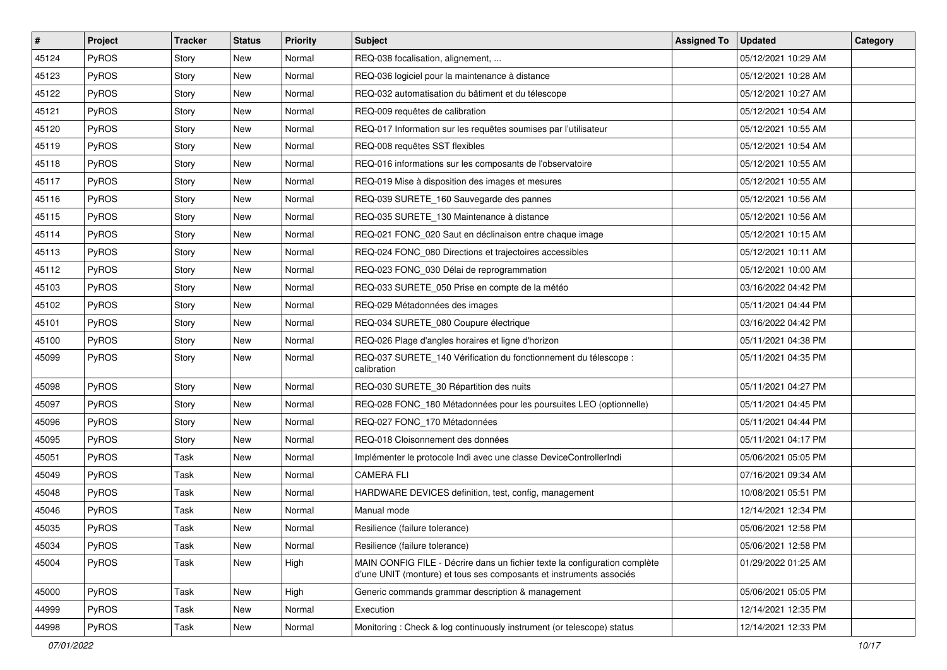| $\sharp$ | Project | Tracker | <b>Status</b> | <b>Priority</b> | Subject                                                                                                                                           | <b>Assigned To</b> | <b>Updated</b>      | Category |
|----------|---------|---------|---------------|-----------------|---------------------------------------------------------------------------------------------------------------------------------------------------|--------------------|---------------------|----------|
| 45124    | PyROS   | Story   | <b>New</b>    | Normal          | REQ-038 focalisation, alignement,                                                                                                                 |                    | 05/12/2021 10:29 AM |          |
| 45123    | PyROS   | Story   | New           | Normal          | REQ-036 logiciel pour la maintenance à distance                                                                                                   |                    | 05/12/2021 10:28 AM |          |
| 45122    | PyROS   | Story   | New           | Normal          | REQ-032 automatisation du bâtiment et du télescope                                                                                                |                    | 05/12/2021 10:27 AM |          |
| 45121    | PyROS   | Story   | New           | Normal          | REQ-009 requêtes de calibration                                                                                                                   |                    | 05/12/2021 10:54 AM |          |
| 45120    | PyROS   | Story   | <b>New</b>    | Normal          | REQ-017 Information sur les requêtes soumises par l'utilisateur                                                                                   |                    | 05/12/2021 10:55 AM |          |
| 45119    | PyROS   | Story   | New           | Normal          | REQ-008 requêtes SST flexibles                                                                                                                    |                    | 05/12/2021 10:54 AM |          |
| 45118    | PyROS   | Story   | <b>New</b>    | Normal          | REQ-016 informations sur les composants de l'observatoire                                                                                         |                    | 05/12/2021 10:55 AM |          |
| 45117    | PyROS   | Story   | New           | Normal          | REQ-019 Mise à disposition des images et mesures                                                                                                  |                    | 05/12/2021 10:55 AM |          |
| 45116    | PyROS   | Story   | New           | Normal          | REQ-039 SURETE_160 Sauvegarde des pannes                                                                                                          |                    | 05/12/2021 10:56 AM |          |
| 45115    | PyROS   | Story   | <b>New</b>    | Normal          | REQ-035 SURETE_130 Maintenance à distance                                                                                                         |                    | 05/12/2021 10:56 AM |          |
| 45114    | PyROS   | Story   | New           | Normal          | REQ-021 FONC_020 Saut en déclinaison entre chaque image                                                                                           |                    | 05/12/2021 10:15 AM |          |
| 45113    | PyROS   | Story   | <b>New</b>    | Normal          | REQ-024 FONC_080 Directions et trajectoires accessibles                                                                                           |                    | 05/12/2021 10:11 AM |          |
| 45112    | PyROS   | Story   | New           | Normal          | REQ-023 FONC_030 Délai de reprogrammation                                                                                                         |                    | 05/12/2021 10:00 AM |          |
| 45103    | PyROS   | Story   | <b>New</b>    | Normal          | REQ-033 SURETE_050 Prise en compte de la météo                                                                                                    |                    | 03/16/2022 04:42 PM |          |
| 45102    | PyROS   | Story   | <b>New</b>    | Normal          | REQ-029 Métadonnées des images                                                                                                                    |                    | 05/11/2021 04:44 PM |          |
| 45101    | PyROS   | Story   | <b>New</b>    | Normal          | REQ-034 SURETE_080 Coupure électrique                                                                                                             |                    | 03/16/2022 04:42 PM |          |
| 45100    | PyROS   | Story   | New           | Normal          | REQ-026 Plage d'angles horaires et ligne d'horizon                                                                                                |                    | 05/11/2021 04:38 PM |          |
| 45099    | PyROS   | Story   | New           | Normal          | REQ-037 SURETE_140 Vérification du fonctionnement du télescope :<br>calibration                                                                   |                    | 05/11/2021 04:35 PM |          |
| 45098    | PyROS   | Story   | New           | Normal          | REQ-030 SURETE_30 Répartition des nuits                                                                                                           |                    | 05/11/2021 04:27 PM |          |
| 45097    | PyROS   | Story   | New           | Normal          | REQ-028 FONC_180 Métadonnées pour les poursuites LEO (optionnelle)                                                                                |                    | 05/11/2021 04:45 PM |          |
| 45096    | PyROS   | Story   | <b>New</b>    | Normal          | REQ-027 FONC_170 Métadonnées                                                                                                                      |                    | 05/11/2021 04:44 PM |          |
| 45095    | PyROS   | Story   | <b>New</b>    | Normal          | REQ-018 Cloisonnement des données                                                                                                                 |                    | 05/11/2021 04:17 PM |          |
| 45051    | PyROS   | Task    | New           | Normal          | Implémenter le protocole Indi avec une classe DeviceControllerIndi                                                                                |                    | 05/06/2021 05:05 PM |          |
| 45049    | PyROS   | Task    | <b>New</b>    | Normal          | <b>CAMERA FLI</b>                                                                                                                                 |                    | 07/16/2021 09:34 AM |          |
| 45048    | PyROS   | Task    | New           | Normal          | HARDWARE DEVICES definition, test, config, management                                                                                             |                    | 10/08/2021 05:51 PM |          |
| 45046    | PyROS   | Task    | <b>New</b>    | Normal          | Manual mode                                                                                                                                       |                    | 12/14/2021 12:34 PM |          |
| 45035    | PyROS   | Task    | <b>New</b>    | Normal          | Resilience (failure tolerance)                                                                                                                    |                    | 05/06/2021 12:58 PM |          |
| 45034    | PyROS   | Task    | New           | Normal          | Resilience (failure tolerance)                                                                                                                    |                    | 05/06/2021 12:58 PM |          |
| 45004    | PyROS   | Task    | New           | High            | MAIN CONFIG FILE - Décrire dans un fichier texte la configuration complète<br>d'une UNIT (monture) et tous ses composants et instruments associés |                    | 01/29/2022 01:25 AM |          |
| 45000    | PyROS   | Task    | New           | High            | Generic commands grammar description & management                                                                                                 |                    | 05/06/2021 05:05 PM |          |
| 44999    | PyROS   | Task    | New           | Normal          | Execution                                                                                                                                         |                    | 12/14/2021 12:35 PM |          |
| 44998    | PyROS   | Task    | New           | Normal          | Monitoring: Check & log continuously instrument (or telescope) status                                                                             |                    | 12/14/2021 12:33 PM |          |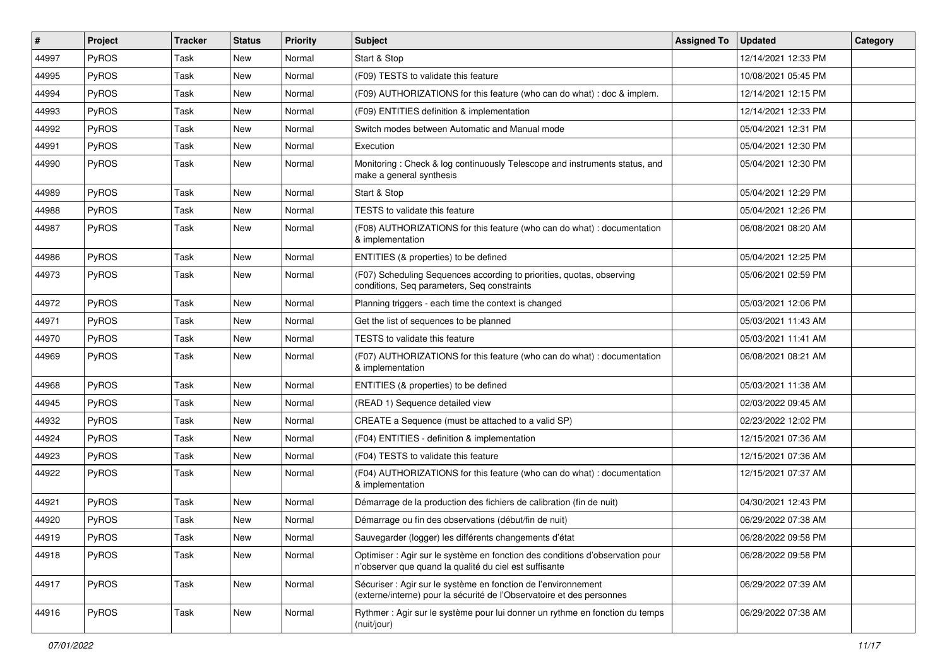| $\#$  | Project | <b>Tracker</b> | <b>Status</b> | <b>Priority</b> | Subject                                                                                                                                 | <b>Assigned To</b> | <b>Updated</b>      | Category |
|-------|---------|----------------|---------------|-----------------|-----------------------------------------------------------------------------------------------------------------------------------------|--------------------|---------------------|----------|
| 44997 | PyROS   | Task           | New           | Normal          | Start & Stop                                                                                                                            |                    | 12/14/2021 12:33 PM |          |
| 44995 | PyROS   | Task           | New           | Normal          | (F09) TESTS to validate this feature                                                                                                    |                    | 10/08/2021 05:45 PM |          |
| 44994 | PyROS   | Task           | New           | Normal          | (F09) AUTHORIZATIONS for this feature (who can do what) : doc & implem.                                                                 |                    | 12/14/2021 12:15 PM |          |
| 44993 | PyROS   | Task           | New           | Normal          | (F09) ENTITIES definition & implementation                                                                                              |                    | 12/14/2021 12:33 PM |          |
| 44992 | PyROS   | Task           | <b>New</b>    | Normal          | Switch modes between Automatic and Manual mode                                                                                          |                    | 05/04/2021 12:31 PM |          |
| 44991 | PyROS   | Task           | New           | Normal          | Execution                                                                                                                               |                    | 05/04/2021 12:30 PM |          |
| 44990 | PyROS   | Task           | New           | Normal          | Monitoring: Check & log continuously Telescope and instruments status, and<br>make a general synthesis                                  |                    | 05/04/2021 12:30 PM |          |
| 44989 | PyROS   | Task           | New           | Normal          | Start & Stop                                                                                                                            |                    | 05/04/2021 12:29 PM |          |
| 44988 | PyROS   | Task           | <b>New</b>    | Normal          | TESTS to validate this feature                                                                                                          |                    | 05/04/2021 12:26 PM |          |
| 44987 | PyROS   | Task           | New           | Normal          | (F08) AUTHORIZATIONS for this feature (who can do what) : documentation<br>& implementation                                             |                    | 06/08/2021 08:20 AM |          |
| 44986 | PyROS   | Task           | New           | Normal          | ENTITIES (& properties) to be defined                                                                                                   |                    | 05/04/2021 12:25 PM |          |
| 44973 | PyROS   | Task           | New           | Normal          | (F07) Scheduling Sequences according to priorities, quotas, observing<br>conditions, Seq parameters, Seq constraints                    |                    | 05/06/2021 02:59 PM |          |
| 44972 | PyROS   | Task           | New           | Normal          | Planning triggers - each time the context is changed                                                                                    |                    | 05/03/2021 12:06 PM |          |
| 44971 | PyROS   | Task           | New           | Normal          | Get the list of sequences to be planned                                                                                                 |                    | 05/03/2021 11:43 AM |          |
| 44970 | PyROS   | Task           | <b>New</b>    | Normal          | TESTS to validate this feature                                                                                                          |                    | 05/03/2021 11:41 AM |          |
| 44969 | PyROS   | Task           | New           | Normal          | (F07) AUTHORIZATIONS for this feature (who can do what) : documentation<br>& implementation                                             |                    | 06/08/2021 08:21 AM |          |
| 44968 | PyROS   | Task           | New           | Normal          | ENTITIES (& properties) to be defined                                                                                                   |                    | 05/03/2021 11:38 AM |          |
| 44945 | PyROS   | Task           | New           | Normal          | (READ 1) Sequence detailed view                                                                                                         |                    | 02/03/2022 09:45 AM |          |
| 44932 | PyROS   | Task           | <b>New</b>    | Normal          | CREATE a Sequence (must be attached to a valid SP)                                                                                      |                    | 02/23/2022 12:02 PM |          |
| 44924 | PyROS   | Task           | New           | Normal          | (F04) ENTITIES - definition & implementation                                                                                            |                    | 12/15/2021 07:36 AM |          |
| 44923 | PyROS   | Task           | New           | Normal          | (F04) TESTS to validate this feature                                                                                                    |                    | 12/15/2021 07:36 AM |          |
| 44922 | PyROS   | Task           | New           | Normal          | (F04) AUTHORIZATIONS for this feature (who can do what) : documentation<br>& implementation                                             |                    | 12/15/2021 07:37 AM |          |
| 44921 | PyROS   | Task           | New           | Normal          | Démarrage de la production des fichiers de calibration (fin de nuit)                                                                    |                    | 04/30/2021 12:43 PM |          |
| 44920 | PyROS   | Task           | New           | Normal          | Démarrage ou fin des observations (début/fin de nuit)                                                                                   |                    | 06/29/2022 07:38 AM |          |
| 44919 | PyROS   | Task           | New           | Normal          | Sauvegarder (logger) les différents changements d'état                                                                                  |                    | 06/28/2022 09:58 PM |          |
| 44918 | PyROS   | Task           | New           | Normal          | Optimiser : Agir sur le système en fonction des conditions d'observation pour<br>n'observer que quand la qualité du ciel est suffisante |                    | 06/28/2022 09:58 PM |          |
| 44917 | PyROS   | Task           | New           | Normal          | Sécuriser : Agir sur le système en fonction de l'environnement<br>(externe/interne) pour la sécurité de l'Observatoire et des personnes |                    | 06/29/2022 07:39 AM |          |
| 44916 | PyROS   | Task           | New           | Normal          | Rythmer : Agir sur le système pour lui donner un rythme en fonction du temps<br>(nuit/jour)                                             |                    | 06/29/2022 07:38 AM |          |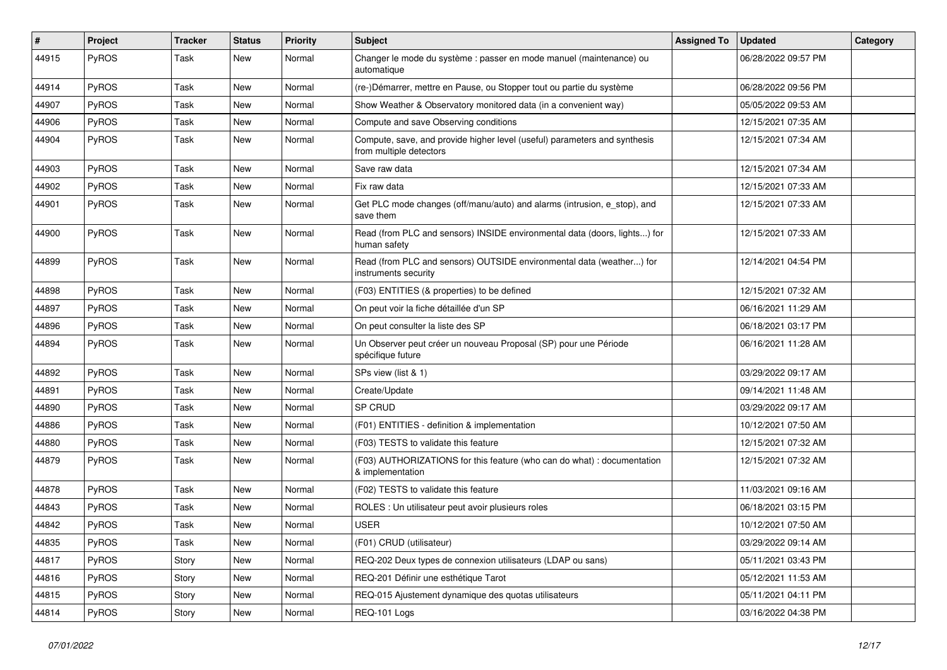| #     | Project      | Tracker | <b>Status</b> | <b>Priority</b> | Subject                                                                                              | <b>Assigned To</b> | <b>Updated</b>      | Category |
|-------|--------------|---------|---------------|-----------------|------------------------------------------------------------------------------------------------------|--------------------|---------------------|----------|
| 44915 | PyROS        | Task    | <b>New</b>    | Normal          | Changer le mode du système : passer en mode manuel (maintenance) ou<br>automatique                   |                    | 06/28/2022 09:57 PM |          |
| 44914 | PyROS        | Task    | <b>New</b>    | Normal          | (re-)Démarrer, mettre en Pause, ou Stopper tout ou partie du système                                 |                    | 06/28/2022 09:56 PM |          |
| 44907 | PyROS        | Task    | New           | Normal          | Show Weather & Observatory monitored data (in a convenient way)                                      |                    | 05/05/2022 09:53 AM |          |
| 44906 | PyROS        | Task    | <b>New</b>    | Normal          | Compute and save Observing conditions                                                                |                    | 12/15/2021 07:35 AM |          |
| 44904 | PyROS        | Task    | <b>New</b>    | Normal          | Compute, save, and provide higher level (useful) parameters and synthesis<br>from multiple detectors |                    | 12/15/2021 07:34 AM |          |
| 44903 | PyROS        | Task    | New           | Normal          | Save raw data                                                                                        |                    | 12/15/2021 07:34 AM |          |
| 44902 | PyROS        | Task    | <b>New</b>    | Normal          | Fix raw data                                                                                         |                    | 12/15/2021 07:33 AM |          |
| 44901 | PyROS        | Task    | New           | Normal          | Get PLC mode changes (off/manu/auto) and alarms (intrusion, e_stop), and<br>save them                |                    | 12/15/2021 07:33 AM |          |
| 44900 | PyROS        | Task    | New           | Normal          | Read (from PLC and sensors) INSIDE environmental data (doors, lights) for<br>human safety            |                    | 12/15/2021 07:33 AM |          |
| 44899 | PyROS        | Task    | New           | Normal          | Read (from PLC and sensors) OUTSIDE environmental data (weather) for<br>instruments security         |                    | 12/14/2021 04:54 PM |          |
| 44898 | PyROS        | Task    | New           | Normal          | (F03) ENTITIES (& properties) to be defined                                                          |                    | 12/15/2021 07:32 AM |          |
| 44897 | PyROS        | Task    | <b>New</b>    | Normal          | On peut voir la fiche détaillée d'un SP                                                              |                    | 06/16/2021 11:29 AM |          |
| 44896 | PyROS        | Task    | <b>New</b>    | Normal          | On peut consulter la liste des SP                                                                    |                    | 06/18/2021 03:17 PM |          |
| 44894 | <b>PyROS</b> | Task    | New           | Normal          | Un Observer peut créer un nouveau Proposal (SP) pour une Période<br>spécifique future                |                    | 06/16/2021 11:28 AM |          |
| 44892 | PyROS        | Task    | <b>New</b>    | Normal          | SPs view (list & 1)                                                                                  |                    | 03/29/2022 09:17 AM |          |
| 44891 | PyROS        | Task    | New           | Normal          | Create/Update                                                                                        |                    | 09/14/2021 11:48 AM |          |
| 44890 | PyROS        | Task    | <b>New</b>    | Normal          | SP CRUD                                                                                              |                    | 03/29/2022 09:17 AM |          |
| 44886 | PyROS        | Task    | New           | Normal          | (F01) ENTITIES - definition & implementation                                                         |                    | 10/12/2021 07:50 AM |          |
| 44880 | PyROS        | Task    | <b>New</b>    | Normal          | (F03) TESTS to validate this feature                                                                 |                    | 12/15/2021 07:32 AM |          |
| 44879 | PyROS        | Task    | New           | Normal          | (F03) AUTHORIZATIONS for this feature (who can do what) : documentation<br>& implementation          |                    | 12/15/2021 07:32 AM |          |
| 44878 | PyROS        | Task    | <b>New</b>    | Normal          | (F02) TESTS to validate this feature                                                                 |                    | 11/03/2021 09:16 AM |          |
| 44843 | PyROS        | Task    | <b>New</b>    | Normal          | ROLES : Un utilisateur peut avoir plusieurs roles                                                    |                    | 06/18/2021 03:15 PM |          |
| 44842 | PyROS        | Task    | New           | Normal          | <b>USER</b>                                                                                          |                    | 10/12/2021 07:50 AM |          |
| 44835 | PyROS        | Task    | New           | Normal          | (F01) CRUD (utilisateur)                                                                             |                    | 03/29/2022 09:14 AM |          |
| 44817 | PyROS        | Story   | New           | Normal          | REQ-202 Deux types de connexion utilisateurs (LDAP ou sans)                                          |                    | 05/11/2021 03:43 PM |          |
| 44816 | PyROS        | Story   | New           | Normal          | REQ-201 Définir une esthétique Tarot                                                                 |                    | 05/12/2021 11:53 AM |          |
| 44815 | PyROS        | Story   | New           | Normal          | REQ-015 Ajustement dynamique des quotas utilisateurs                                                 |                    | 05/11/2021 04:11 PM |          |
| 44814 | PyROS        | Story   | New           | Normal          | REQ-101 Logs                                                                                         |                    | 03/16/2022 04:38 PM |          |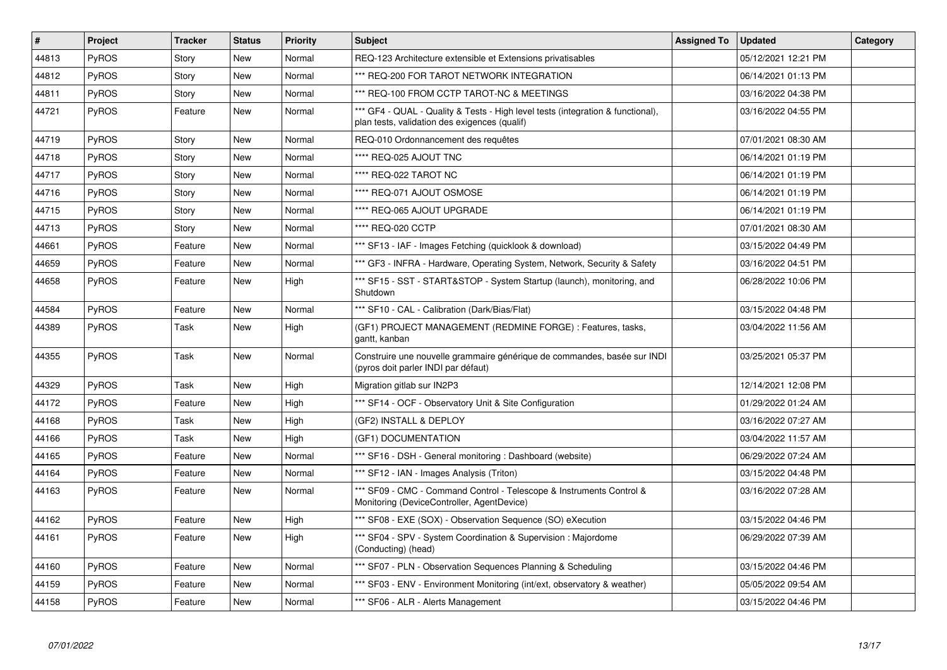| $\vert$ # | Project      | <b>Tracker</b> | <b>Status</b> | <b>Priority</b> | <b>Subject</b>                                                                                                                   | <b>Assigned To</b> | <b>Updated</b>      | Category |
|-----------|--------------|----------------|---------------|-----------------|----------------------------------------------------------------------------------------------------------------------------------|--------------------|---------------------|----------|
| 44813     | <b>PyROS</b> | Story          | <b>New</b>    | Normal          | REQ-123 Architecture extensible et Extensions privatisables                                                                      |                    | 05/12/2021 12:21 PM |          |
| 44812     | <b>PyROS</b> | Story          | New           | Normal          | *** REQ-200 FOR TAROT NETWORK INTEGRATION                                                                                        |                    | 06/14/2021 01:13 PM |          |
| 44811     | <b>PyROS</b> | Story          | New           | Normal          | *** REQ-100 FROM CCTP TAROT-NC & MEETINGS                                                                                        |                    | 03/16/2022 04:38 PM |          |
| 44721     | <b>PyROS</b> | Feature        | New           | Normal          | *** GF4 - QUAL - Quality & Tests - High level tests (integration & functional),<br>plan tests, validation des exigences (qualif) |                    | 03/16/2022 04:55 PM |          |
| 44719     | <b>PyROS</b> | Story          | New           | Normal          | REQ-010 Ordonnancement des requêtes                                                                                              |                    | 07/01/2021 08:30 AM |          |
| 44718     | <b>PyROS</b> | Story          | New           | Normal          | **** REQ-025 AJOUT TNC                                                                                                           |                    | 06/14/2021 01:19 PM |          |
| 44717     | <b>PyROS</b> | Story          | <b>New</b>    | Normal          | **** REQ-022 TAROT NC                                                                                                            |                    | 06/14/2021 01:19 PM |          |
| 44716     | <b>PyROS</b> | Story          | <b>New</b>    | Normal          | **** REQ-071 AJOUT OSMOSE                                                                                                        |                    | 06/14/2021 01:19 PM |          |
| 44715     | <b>PyROS</b> | Story          | <b>New</b>    | Normal          | **** REQ-065 AJOUT UPGRADE                                                                                                       |                    | 06/14/2021 01:19 PM |          |
| 44713     | <b>PyROS</b> | Story          | <b>New</b>    | Normal          | **** REQ-020 CCTP                                                                                                                |                    | 07/01/2021 08:30 AM |          |
| 44661     | <b>PyROS</b> | Feature        | <b>New</b>    | Normal          | *** SF13 - IAF - Images Fetching (quicklook & download)                                                                          |                    | 03/15/2022 04:49 PM |          |
| 44659     | PyROS        | Feature        | <b>New</b>    | Normal          | *** GF3 - INFRA - Hardware, Operating System, Network, Security & Safety                                                         |                    | 03/16/2022 04:51 PM |          |
| 44658     | <b>PyROS</b> | Feature        | New           | High            | *** SF15 - SST - START&STOP - System Startup (launch), monitoring, and<br>Shutdown                                               |                    | 06/28/2022 10:06 PM |          |
| 44584     | <b>PyROS</b> | Feature        | <b>New</b>    | Normal          | *** SF10 - CAL - Calibration (Dark/Bias/Flat)                                                                                    |                    | 03/15/2022 04:48 PM |          |
| 44389     | <b>PyROS</b> | Task           | New           | High            | (GF1) PROJECT MANAGEMENT (REDMINE FORGE) : Features, tasks,<br>gantt, kanban                                                     |                    | 03/04/2022 11:56 AM |          |
| 44355     | PyROS        | Task           | <b>New</b>    | Normal          | Construire une nouvelle grammaire générique de commandes, basée sur INDI<br>(pyros doit parler INDI par défaut)                  |                    | 03/25/2021 05:37 PM |          |
| 44329     | <b>PyROS</b> | Task           | <b>New</b>    | High            | Migration gitlab sur IN2P3                                                                                                       |                    | 12/14/2021 12:08 PM |          |
| 44172     | PyROS        | Feature        | New           | High            | *** SF14 - OCF - Observatory Unit & Site Configuration                                                                           |                    | 01/29/2022 01:24 AM |          |
| 44168     | PyROS        | Task           | New           | High            | (GF2) INSTALL & DEPLOY                                                                                                           |                    | 03/16/2022 07:27 AM |          |
| 44166     | PyROS        | Task           | <b>New</b>    | High            | (GF1) DOCUMENTATION                                                                                                              |                    | 03/04/2022 11:57 AM |          |
| 44165     | PyROS        | Feature        | New           | Normal          | *** SF16 - DSH - General monitoring : Dashboard (website)                                                                        |                    | 06/29/2022 07:24 AM |          |
| 44164     | PyROS        | Feature        | <b>New</b>    | Normal          | *** SF12 - IAN - Images Analysis (Triton)                                                                                        |                    | 03/15/2022 04:48 PM |          |
| 44163     | <b>PyROS</b> | Feature        | New           | Normal          | *** SF09 - CMC - Command Control - Telescope & Instruments Control &<br>Monitoring (DeviceController, AgentDevice)               |                    | 03/16/2022 07:28 AM |          |
| 44162     | PyROS        | Feature        | <b>New</b>    | High            | *** SF08 - EXE (SOX) - Observation Sequence (SO) eXecution                                                                       |                    | 03/15/2022 04:46 PM |          |
| 44161     | PyROS        | Feature        | New           | High            | *** SF04 - SPV - System Coordination & Supervision : Majordome<br>(Conducting) (head)                                            |                    | 06/29/2022 07:39 AM |          |
| 44160     | PyROS        | Feature        | <b>New</b>    | Normal          | *** SF07 - PLN - Observation Sequences Planning & Scheduling                                                                     |                    | 03/15/2022 04:46 PM |          |
| 44159     | PyROS        | Feature        | <b>New</b>    | Normal          | *** SF03 - ENV - Environment Monitoring (int/ext, observatory & weather)                                                         |                    | 05/05/2022 09:54 AM |          |
| 44158     | PyROS        | Feature        | <b>New</b>    | Normal          | *** SF06 - ALR - Alerts Management                                                                                               |                    | 03/15/2022 04:46 PM |          |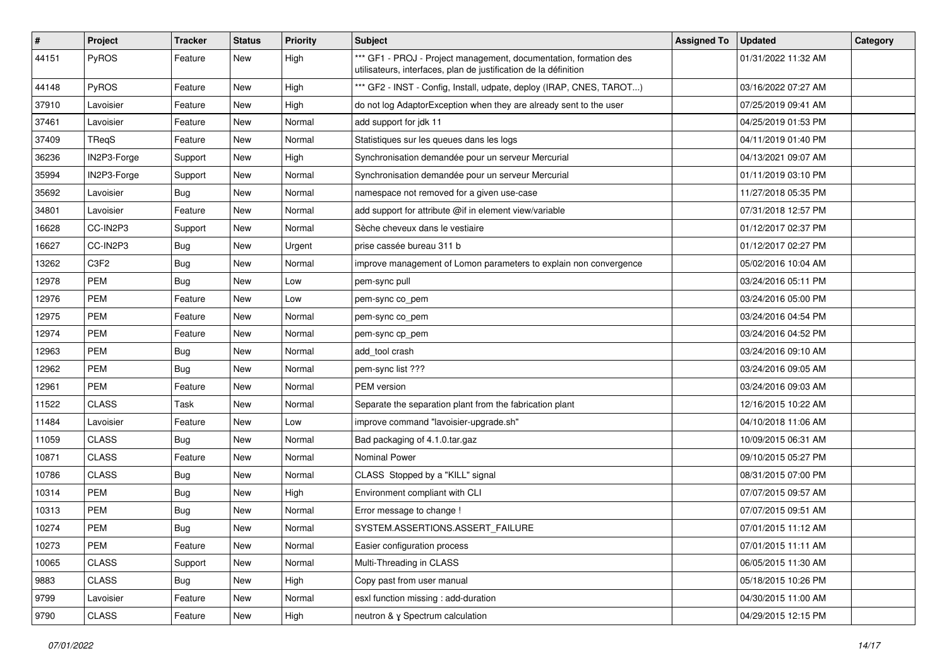| #     | Project      | Tracker    | <b>Status</b> | <b>Priority</b> | Subject                                                                                                                               | <b>Assigned To</b> | <b>Updated</b>      | Category |
|-------|--------------|------------|---------------|-----------------|---------------------------------------------------------------------------------------------------------------------------------------|--------------------|---------------------|----------|
| 44151 | PyROS        | Feature    | New           | High            | *** GF1 - PROJ - Project management, documentation, formation des<br>utilisateurs, interfaces, plan de justification de la définition |                    | 01/31/2022 11:32 AM |          |
| 44148 | PyROS        | Feature    | New           | High            | *** GF2 - INST - Config, Install, udpate, deploy (IRAP, CNES, TAROT)                                                                  |                    | 03/16/2022 07:27 AM |          |
| 37910 | Lavoisier    | Feature    | New           | High            | do not log AdaptorException when they are already sent to the user                                                                    |                    | 07/25/2019 09:41 AM |          |
| 37461 | Lavoisier    | Feature    | <b>New</b>    | Normal          | add support for jdk 11                                                                                                                |                    | 04/25/2019 01:53 PM |          |
| 37409 | TRegS        | Feature    | <b>New</b>    | Normal          | Statistiques sur les queues dans les logs                                                                                             |                    | 04/11/2019 01:40 PM |          |
| 36236 | IN2P3-Forge  | Support    | <b>New</b>    | High            | Synchronisation demandée pour un serveur Mercurial                                                                                    |                    | 04/13/2021 09:07 AM |          |
| 35994 | IN2P3-Forge  | Support    | New           | Normal          | Synchronisation demandée pour un serveur Mercurial                                                                                    |                    | 01/11/2019 03:10 PM |          |
| 35692 | Lavoisier    | <b>Bug</b> | New           | Normal          | namespace not removed for a given use-case                                                                                            |                    | 11/27/2018 05:35 PM |          |
| 34801 | Lavoisier    | Feature    | <b>New</b>    | Normal          | add support for attribute @if in element view/variable                                                                                |                    | 07/31/2018 12:57 PM |          |
| 16628 | CC-IN2P3     | Support    | New           | Normal          | Sèche cheveux dans le vestiaire                                                                                                       |                    | 01/12/2017 02:37 PM |          |
| 16627 | CC-IN2P3     | Bug        | <b>New</b>    | Urgent          | prise cassée bureau 311 b                                                                                                             |                    | 01/12/2017 02:27 PM |          |
| 13262 | C3F2         | Bug        | <b>New</b>    | Normal          | improve management of Lomon parameters to explain non convergence                                                                     |                    | 05/02/2016 10:04 AM |          |
| 12978 | <b>PEM</b>   | <b>Bug</b> | <b>New</b>    | Low             | pem-sync pull                                                                                                                         |                    | 03/24/2016 05:11 PM |          |
| 12976 | <b>PEM</b>   | Feature    | <b>New</b>    | Low             | pem-sync co_pem                                                                                                                       |                    | 03/24/2016 05:00 PM |          |
| 12975 | PEM          | Feature    | New           | Normal          | pem-sync co_pem                                                                                                                       |                    | 03/24/2016 04:54 PM |          |
| 12974 | <b>PEM</b>   | Feature    | New           | Normal          | pem-sync cp pem                                                                                                                       |                    | 03/24/2016 04:52 PM |          |
| 12963 | PEM          | <b>Bug</b> | New           | Normal          | add tool crash                                                                                                                        |                    | 03/24/2016 09:10 AM |          |
| 12962 | <b>PEM</b>   | Bug        | <b>New</b>    | Normal          | pem-sync list ???                                                                                                                     |                    | 03/24/2016 09:05 AM |          |
| 12961 | <b>PEM</b>   | Feature    | <b>New</b>    | Normal          | PEM version                                                                                                                           |                    | 03/24/2016 09:03 AM |          |
| 11522 | <b>CLASS</b> | Task       | New           | Normal          | Separate the separation plant from the fabrication plant                                                                              |                    | 12/16/2015 10:22 AM |          |
| 11484 | Lavoisier    | Feature    | New           | Low             | improve command "lavoisier-upgrade.sh"                                                                                                |                    | 04/10/2018 11:06 AM |          |
| 11059 | <b>CLASS</b> | Bug        | <b>New</b>    | Normal          | Bad packaging of 4.1.0.tar.gaz                                                                                                        |                    | 10/09/2015 06:31 AM |          |
| 10871 | <b>CLASS</b> | Feature    | <b>New</b>    | Normal          | <b>Nominal Power</b>                                                                                                                  |                    | 09/10/2015 05:27 PM |          |
| 10786 | <b>CLASS</b> | <b>Bug</b> | <b>New</b>    | Normal          | CLASS Stopped by a "KILL" signal                                                                                                      |                    | 08/31/2015 07:00 PM |          |
| 10314 | PEM          | Bug        | <b>New</b>    | High            | Environment compliant with CLI                                                                                                        |                    | 07/07/2015 09:57 AM |          |
| 10313 | <b>PEM</b>   | <b>Bug</b> | New           | Normal          | Error message to change !                                                                                                             |                    | 07/07/2015 09:51 AM |          |
| 10274 | <b>PEM</b>   | <b>Bug</b> | <b>New</b>    | Normal          | SYSTEM.ASSERTIONS.ASSERT_FAILURE                                                                                                      |                    | 07/01/2015 11:12 AM |          |
| 10273 | PEM          | Feature    | New           | Normal          | Easier configuration process                                                                                                          |                    | 07/01/2015 11:11 AM |          |
| 10065 | CLASS        | Support    | New           | Normal          | Multi-Threading in CLASS                                                                                                              |                    | 06/05/2015 11:30 AM |          |
| 9883  | CLASS        | Bug        | New           | High            | Copy past from user manual                                                                                                            |                    | 05/18/2015 10:26 PM |          |
| 9799  | Lavoisier    | Feature    | New           | Normal          | esxl function missing : add-duration                                                                                                  |                    | 04/30/2015 11:00 AM |          |
| 9790  | CLASS        | Feature    | New           | High            | neutron & y Spectrum calculation                                                                                                      |                    | 04/29/2015 12:15 PM |          |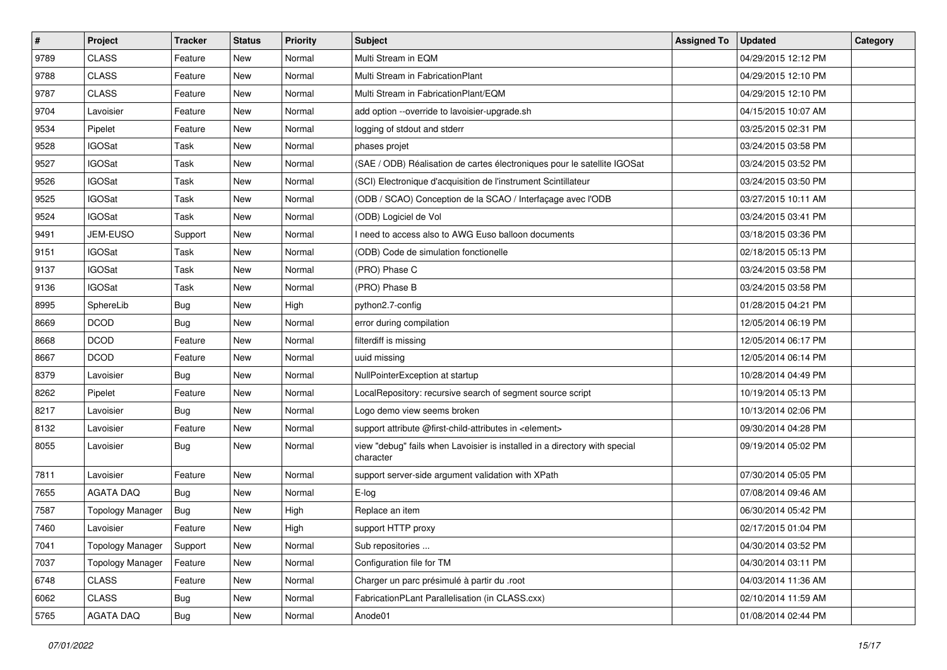| $\sharp$ | Project                 | Tracker    | <b>Status</b> | <b>Priority</b> | Subject                                                                                 | <b>Assigned To</b> | <b>Updated</b>      | Category |
|----------|-------------------------|------------|---------------|-----------------|-----------------------------------------------------------------------------------------|--------------------|---------------------|----------|
| 9789     | <b>CLASS</b>            | Feature    | <b>New</b>    | Normal          | Multi Stream in EQM                                                                     |                    | 04/29/2015 12:12 PM |          |
| 9788     | <b>CLASS</b>            | Feature    | New           | Normal          | Multi Stream in FabricationPlant                                                        |                    | 04/29/2015 12:10 PM |          |
| 9787     | <b>CLASS</b>            | Feature    | New           | Normal          | Multi Stream in FabricationPlant/EQM                                                    |                    | 04/29/2015 12:10 PM |          |
| 9704     | Lavoisier               | Feature    | <b>New</b>    | Normal          | add option --override to lavoisier-upgrade.sh                                           |                    | 04/15/2015 10:07 AM |          |
| 9534     | Pipelet                 | Feature    | New           | Normal          | logging of stdout and stderr                                                            |                    | 03/25/2015 02:31 PM |          |
| 9528     | <b>IGOSat</b>           | Task       | <b>New</b>    | Normal          | phases projet                                                                           |                    | 03/24/2015 03:58 PM |          |
| 9527     | <b>IGOSat</b>           | Task       | <b>New</b>    | Normal          | (SAE / ODB) Réalisation de cartes électroniques pour le satellite IGOSat                |                    | 03/24/2015 03:52 PM |          |
| 9526     | <b>IGOSat</b>           | Task       | <b>New</b>    | Normal          | (SCI) Electronique d'acquisition de l'instrument Scintillateur                          |                    | 03/24/2015 03:50 PM |          |
| 9525     | <b>IGOSat</b>           | Task       | New           | Normal          | (ODB / SCAO) Conception de la SCAO / Interfaçage avec l'ODB                             |                    | 03/27/2015 10:11 AM |          |
| 9524     | <b>IGOSat</b>           | Task       | <b>New</b>    | Normal          | (ODB) Logiciel de Vol                                                                   |                    | 03/24/2015 03:41 PM |          |
| 9491     | JEM-EUSO                | Support    | <b>New</b>    | Normal          | I need to access also to AWG Euso balloon documents                                     |                    | 03/18/2015 03:36 PM |          |
| 9151     | <b>IGOSat</b>           | Task       | <b>New</b>    | Normal          | (ODB) Code de simulation fonctionelle                                                   |                    | 02/18/2015 05:13 PM |          |
| 9137     | <b>IGOSat</b>           | Task       | New           | Normal          | (PRO) Phase C                                                                           |                    | 03/24/2015 03:58 PM |          |
| 9136     | <b>IGOSat</b>           | Task       | <b>New</b>    | Normal          | (PRO) Phase B                                                                           |                    | 03/24/2015 03:58 PM |          |
| 8995     | SphereLib               | Bug        | <b>New</b>    | High            | python2.7-config                                                                        |                    | 01/28/2015 04:21 PM |          |
| 8669     | <b>DCOD</b>             | <b>Bug</b> | New           | Normal          | error during compilation                                                                |                    | 12/05/2014 06:19 PM |          |
| 8668     | <b>DCOD</b>             | Feature    | <b>New</b>    | Normal          | filterdiff is missing                                                                   |                    | 12/05/2014 06:17 PM |          |
| 8667     | <b>DCOD</b>             | Feature    | New           | Normal          | uuid missing                                                                            |                    | 12/05/2014 06:14 PM |          |
| 8379     | Lavoisier               | Bug        | <b>New</b>    | Normal          | NullPointerException at startup                                                         |                    | 10/28/2014 04:49 PM |          |
| 8262     | Pipelet                 | Feature    | <b>New</b>    | Normal          | LocalRepository: recursive search of segment source script                              |                    | 10/19/2014 05:13 PM |          |
| 8217     | Lavoisier               | <b>Bug</b> | <b>New</b>    | Normal          | Logo demo view seems broken                                                             |                    | 10/13/2014 02:06 PM |          |
| 8132     | Lavoisier               | Feature    | New           | Normal          | support attribute @first-child-attributes in <element></element>                        |                    | 09/30/2014 04:28 PM |          |
| 8055     | Lavoisier               | Bug        | New           | Normal          | view "debug" fails when Lavoisier is installed in a directory with special<br>character |                    | 09/19/2014 05:02 PM |          |
| 7811     | Lavoisier               | Feature    | <b>New</b>    | Normal          | support server-side argument validation with XPath                                      |                    | 07/30/2014 05:05 PM |          |
| 7655     | <b>AGATA DAQ</b>        | Bug        | <b>New</b>    | Normal          | E-log                                                                                   |                    | 07/08/2014 09:46 AM |          |
| 7587     | <b>Topology Manager</b> | Bug        | <b>New</b>    | High            | Replace an item                                                                         |                    | 06/30/2014 05:42 PM |          |
| 7460     | Lavoisier               | Feature    | <b>New</b>    | High            | support HTTP proxy                                                                      |                    | 02/17/2015 01:04 PM |          |
| 7041     | <b>Topology Manager</b> | Support    | New           | Normal          | Sub repositories                                                                        |                    | 04/30/2014 03:52 PM |          |
| 7037     | <b>Topology Manager</b> | Feature    | New           | Normal          | Configuration file for TM                                                               |                    | 04/30/2014 03:11 PM |          |
| 6748     | CLASS                   | Feature    | New           | Normal          | Charger un parc présimulé à partir du .root                                             |                    | 04/03/2014 11:36 AM |          |
| 6062     | CLASS                   | <b>Bug</b> | New           | Normal          | FabricationPLant Parallelisation (in CLASS.cxx)                                         |                    | 02/10/2014 11:59 AM |          |
| 5765     | AGATA DAQ               | <b>Bug</b> | New           | Normal          | Anode01                                                                                 |                    | 01/08/2014 02:44 PM |          |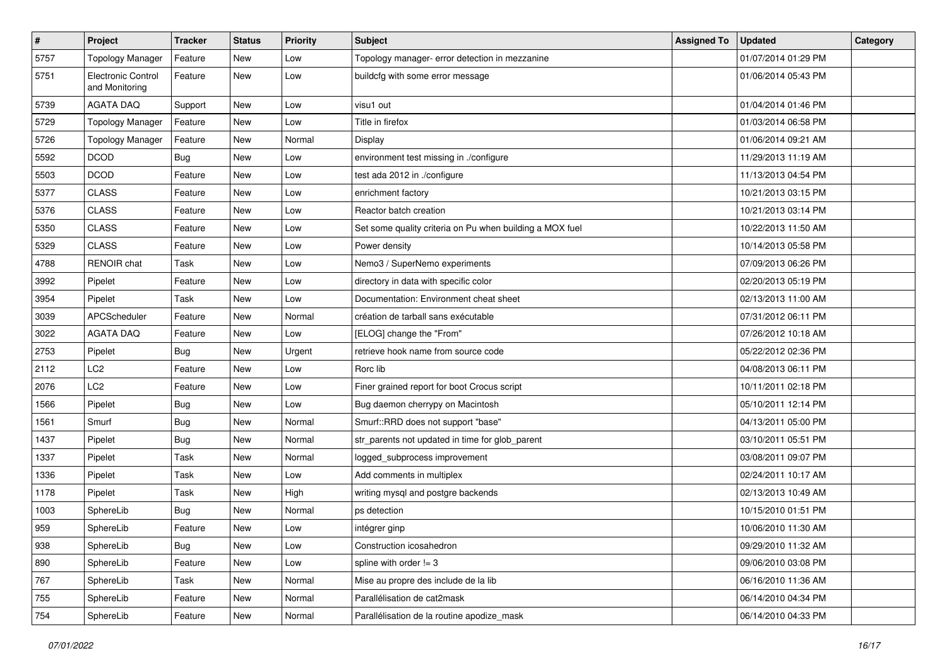| $\pmb{\#}$ | Project                              | <b>Tracker</b> | <b>Status</b> | <b>Priority</b> | Subject                                                  | <b>Assigned To</b> | <b>Updated</b>      | Category |
|------------|--------------------------------------|----------------|---------------|-----------------|----------------------------------------------------------|--------------------|---------------------|----------|
| 5757       | <b>Topology Manager</b>              | Feature        | New           | Low             | Topology manager- error detection in mezzanine           |                    | 01/07/2014 01:29 PM |          |
| 5751       | Electronic Control<br>and Monitoring | Feature        | <b>New</b>    | Low             | buildcfg with some error message                         |                    | 01/06/2014 05:43 PM |          |
| 5739       | <b>AGATA DAQ</b>                     | Support        | <b>New</b>    | Low             | visu1 out                                                |                    | 01/04/2014 01:46 PM |          |
| 5729       | <b>Topology Manager</b>              | Feature        | <b>New</b>    | Low             | Title in firefox                                         |                    | 01/03/2014 06:58 PM |          |
| 5726       | <b>Topology Manager</b>              | Feature        | <b>New</b>    | Normal          | Display                                                  |                    | 01/06/2014 09:21 AM |          |
| 5592       | <b>DCOD</b>                          | Bug            | <b>New</b>    | Low             | environment test missing in ./configure                  |                    | 11/29/2013 11:19 AM |          |
| 5503       | <b>DCOD</b>                          | Feature        | <b>New</b>    | Low             | test ada 2012 in ./configure                             |                    | 11/13/2013 04:54 PM |          |
| 5377       | <b>CLASS</b>                         | Feature        | New           | Low             | enrichment factory                                       |                    | 10/21/2013 03:15 PM |          |
| 5376       | <b>CLASS</b>                         | Feature        | <b>New</b>    | Low             | Reactor batch creation                                   |                    | 10/21/2013 03:14 PM |          |
| 5350       | <b>CLASS</b>                         | Feature        | New           | Low             | Set some quality criteria on Pu when building a MOX fuel |                    | 10/22/2013 11:50 AM |          |
| 5329       | <b>CLASS</b>                         | Feature        | <b>New</b>    | Low             | Power density                                            |                    | 10/14/2013 05:58 PM |          |
| 4788       | <b>RENOIR</b> chat                   | Task           | New           | Low             | Nemo3 / SuperNemo experiments                            |                    | 07/09/2013 06:26 PM |          |
| 3992       | Pipelet                              | Feature        | <b>New</b>    | Low             | directory in data with specific color                    |                    | 02/20/2013 05:19 PM |          |
| 3954       | Pipelet                              | Task           | New           | Low             | Documentation: Environment cheat sheet                   |                    | 02/13/2013 11:00 AM |          |
| 3039       | <b>APCScheduler</b>                  | Feature        | <b>New</b>    | Normal          | création de tarball sans exécutable                      |                    | 07/31/2012 06:11 PM |          |
| 3022       | <b>AGATA DAQ</b>                     | Feature        | New           | Low             | [ELOG] change the "From"                                 |                    | 07/26/2012 10:18 AM |          |
| 2753       | Pipelet                              | Bug            | <b>New</b>    | Urgent          | retrieve hook name from source code                      |                    | 05/22/2012 02:36 PM |          |
| 2112       | LC <sub>2</sub>                      | Feature        | <b>New</b>    | Low             | Rorc lib                                                 |                    | 04/08/2013 06:11 PM |          |
| 2076       | LC <sub>2</sub>                      | Feature        | <b>New</b>    | Low             | Finer grained report for boot Crocus script              |                    | 10/11/2011 02:18 PM |          |
| 1566       | Pipelet                              | Bug            | New           | Low             | Bug daemon cherrypy on Macintosh                         |                    | 05/10/2011 12:14 PM |          |
| 1561       | Smurf                                | Bug            | New           | Normal          | Smurf::RRD does not support "base"                       |                    | 04/13/2011 05:00 PM |          |
| 1437       | Pipelet                              | Bug            | <b>New</b>    | Normal          | str_parents not updated in time for glob_parent          |                    | 03/10/2011 05:51 PM |          |
| 1337       | Pipelet                              | Task           | <b>New</b>    | Normal          | logged_subprocess improvement                            |                    | 03/08/2011 09:07 PM |          |
| 1336       | Pipelet                              | Task           | <b>New</b>    | Low             | Add comments in multiplex                                |                    | 02/24/2011 10:17 AM |          |
| 1178       | Pipelet                              | Task           | <b>New</b>    | High            | writing mysql and postgre backends                       |                    | 02/13/2013 10:49 AM |          |
| 1003       | SphereLib                            | <b>Bug</b>     | <b>New</b>    | Normal          | ps detection                                             |                    | 10/15/2010 01:51 PM |          |
| 959        | SphereLib                            | Feature        | <b>New</b>    | Low             | intégrer ginp                                            |                    | 10/06/2010 11:30 AM |          |
| 938        | SphereLib                            | <b>Bug</b>     | New           | Low             | Construction icosahedron                                 |                    | 09/29/2010 11:32 AM |          |
| 890        | SphereLib                            | Feature        | New           | Low             | spline with order $!= 3$                                 |                    | 09/06/2010 03:08 PM |          |
| 767        | SphereLib                            | Task           | New           | Normal          | Mise au propre des include de la lib                     |                    | 06/16/2010 11:36 AM |          |
| 755        | SphereLib                            | Feature        | New           | Normal          | Parallélisation de cat2mask                              |                    | 06/14/2010 04:34 PM |          |
| 754        | SphereLib                            | Feature        | New           | Normal          | Parallélisation de la routine apodize_mask               |                    | 06/14/2010 04:33 PM |          |